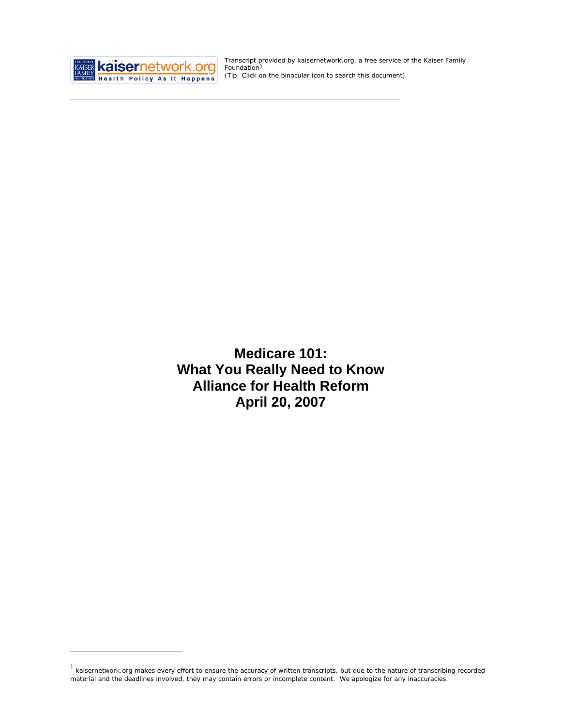

<u>.</u>

Transcript provided by kaisernetwork.org, a free service of the Kaiser Family Foundation**[1](#page-0-0)** *(Tip: Click on the binocular icon to search this document)* 

**Medicare 101: What You Really Need to Know Alliance for Health Reform April 20, 2007** 

<span id="page-0-0"></span><sup>&</sup>lt;sup>1</sup> kaisernetwork.org makes every effort to ensure the accuracy of written transcripts, but due to the nature of transcribing recorded material and the deadlines involved, they may contain errors or incomplete content. We apologize for any inaccuracies.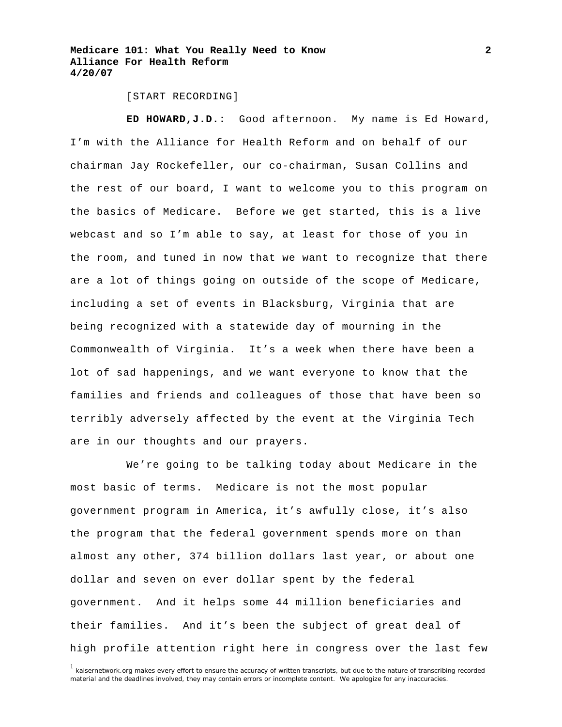[START RECORDING]

**ED HOWARD,J.D.:** Good afternoon. My name is Ed Howard, I'm with the Alliance for Health Reform and on behalf of our chairman Jay Rockefeller, our co-chairman, Susan Collins and the rest of our board, I want to welcome you to this program on the basics of Medicare. Before we get started, this is a live webcast and so I'm able to say, at least for those of you in the room, and tuned in now that we want to recognize that there are a lot of things going on outside of the scope of Medicare, including a set of events in Blacksburg, Virginia that are being recognized with a statewide day of mourning in the Commonwealth of Virginia. It's a week when there have been a lot of sad happenings, and we want everyone to know that the families and friends and colleagues of those that have been so terribly adversely affected by the event at the Virginia Tech are in our thoughts and our prayers.

 We're going to be talking today about Medicare in the most basic of terms. Medicare is not the most popular government program in America, it's awfully close, it's also the program that the federal government spends more on than almost any other, 374 billion dollars last year, or about one dollar and seven on ever dollar spent by the federal government. And it helps some 44 million beneficiaries and their families. And it's been the subject of great deal of high profile attention right here in congress over the last few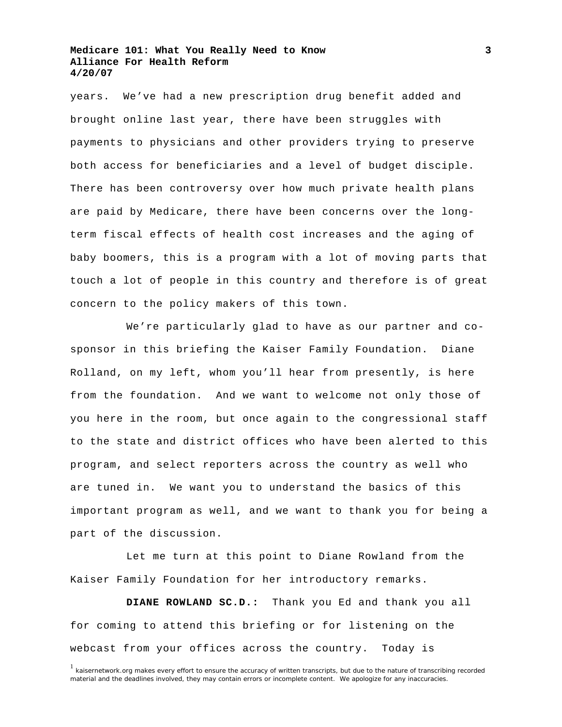years. We've had a new prescription drug benefit added and brought online last year, there have been struggles with payments to physicians and other providers trying to preserve both access for beneficiaries and a level of budget disciple. There has been controversy over how much private health plans are paid by Medicare, there have been concerns over the longterm fiscal effects of health cost increases and the aging of baby boomers, this is a program with a lot of moving parts that touch a lot of people in this country and therefore is of great concern to the policy makers of this town.

 We're particularly glad to have as our partner and cosponsor in this briefing the Kaiser Family Foundation. Diane Rolland, on my left, whom you'll hear from presently, is here from the foundation. And we want to welcome not only those of you here in the room, but once again to the congressional staff to the state and district offices who have been alerted to this program, and select reporters across the country as well who are tuned in. We want you to understand the basics of this important program as well, and we want to thank you for being a part of the discussion.

 Let me turn at this point to Diane Rowland from the Kaiser Family Foundation for her introductory remarks.

**DIANE ROWLAND SC.D.:** Thank you Ed and thank you all for coming to attend this briefing or for listening on the webcast from your offices across the country. Today is

<sup>&</sup>lt;sup>1</sup> kaisernetwork.org makes every effort to ensure the accuracy of written transcripts, but due to the nature of transcribing recorded material and the deadlines involved, they may contain errors or incomplete content. We apologize for any inaccuracies.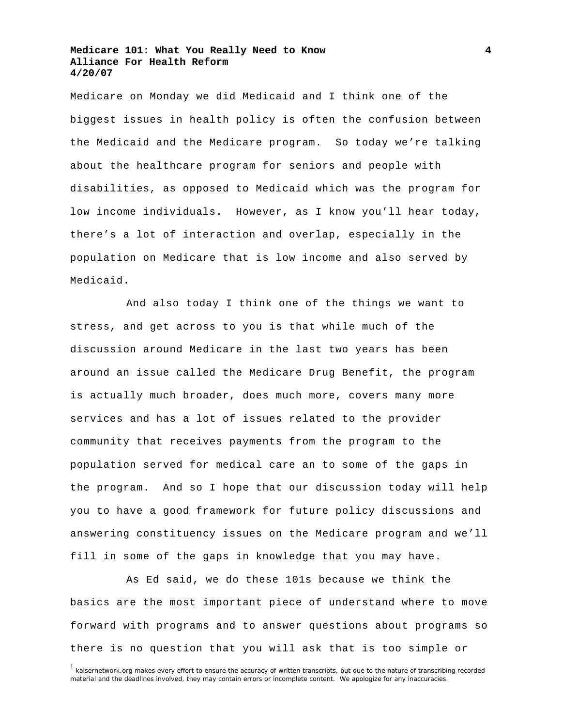Medicare on Monday we did Medicaid and I think one of the biggest issues in health policy is often the confusion between the Medicaid and the Medicare program. So today we're talking about the healthcare program for seniors and people with disabilities, as opposed to Medicaid which was the program for low income individuals. However, as I know you'll hear today, there's a lot of interaction and overlap, especially in the population on Medicare that is low income and also served by Medicaid.

 And also today I think one of the things we want to stress, and get across to you is that while much of the discussion around Medicare in the last two years has been around an issue called the Medicare Drug Benefit, the program is actually much broader, does much more, covers many more services and has a lot of issues related to the provider community that receives payments from the program to the population served for medical care an to some of the gaps in the program. And so I hope that our discussion today will help you to have a good framework for future policy discussions and answering constituency issues on the Medicare program and we'll fill in some of the gaps in knowledge that you may have.

 As Ed said, we do these 101s because we think the basics are the most important piece of understand where to move forward with programs and to answer questions about programs so there is no question that you will ask that is too simple or

<sup>&</sup>lt;sup>1</sup> kaisernetwork.org makes every effort to ensure the accuracy of written transcripts, but due to the nature of transcribing recorded material and the deadlines involved, they may contain errors or incomplete content. We apologize for any inaccuracies.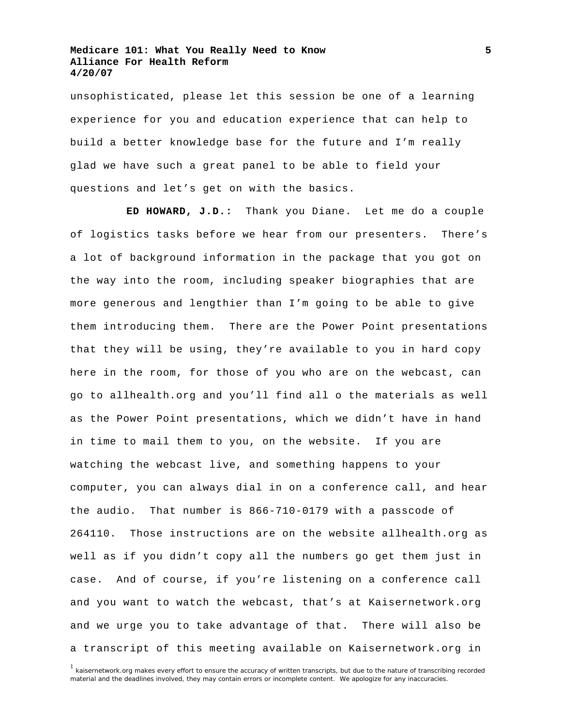unsophisticated, please let this session be one of a learning experience for you and education experience that can help to build a better knowledge base for the future and I'm really glad we have such a great panel to be able to field your questions and let's get on with the basics.

**ED HOWARD, J.D.:** Thank you Diane. Let me do a couple of logistics tasks before we hear from our presenters. There's a lot of background information in the package that you got on the way into the room, including speaker biographies that are more generous and lengthier than I'm going to be able to give them introducing them. There are the Power Point presentations that they will be using, they're available to you in hard copy here in the room, for those of you who are on the webcast, can go to allhealth.org and you'll find all o the materials as well as the Power Point presentations, which we didn't have in hand in time to mail them to you, on the website. If you are watching the webcast live, and something happens to your computer, you can always dial in on a conference call, and hear the audio. That number is 866-710-0179 with a passcode of 264110. Those instructions are on the website allhealth.org as well as if you didn't copy all the numbers go get them just in case. And of course, if you're listening on a conference call and you want to watch the webcast, that's at Kaisernetwork.org and we urge you to take advantage of that. There will also be a transcript of this meeting available on Kaisernetwork.org in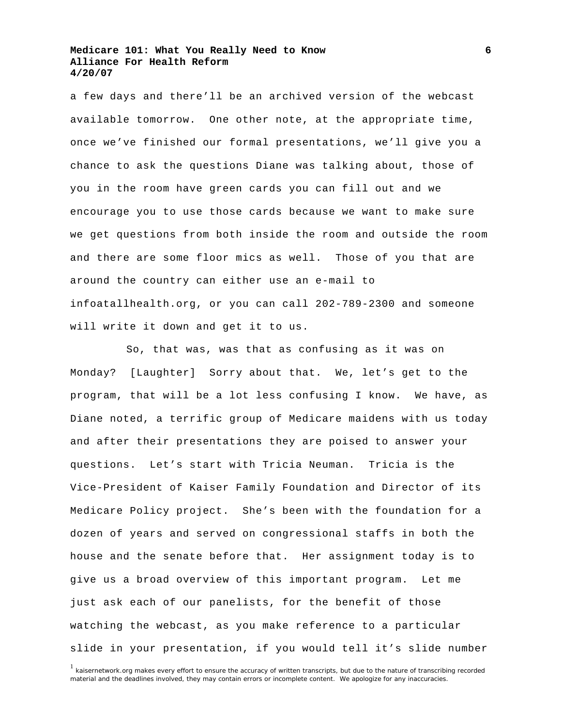a few days and there'll be an archived version of the webcast available tomorrow. One other note, at the appropriate time, once we've finished our formal presentations, we'll give you a chance to ask the questions Diane was talking about, those of you in the room have green cards you can fill out and we encourage you to use those cards because we want to make sure we get questions from both inside the room and outside the room and there are some floor mics as well. Those of you that are around the country can either use an e-mail to infoatallhealth.org, or you can call 202-789-2300 and someone will write it down and get it to us.

 So, that was, was that as confusing as it was on Monday? [Laughter] Sorry about that. We, let's get to the program, that will be a lot less confusing I know. We have, as Diane noted, a terrific group of Medicare maidens with us today and after their presentations they are poised to answer your questions. Let's start with Tricia Neuman. Tricia is the Vice-President of Kaiser Family Foundation and Director of its Medicare Policy project. She's been with the foundation for a dozen of years and served on congressional staffs in both the house and the senate before that. Her assignment today is to give us a broad overview of this important program. Let me just ask each of our panelists, for the benefit of those watching the webcast, as you make reference to a particular slide in your presentation, if you would tell it's slide number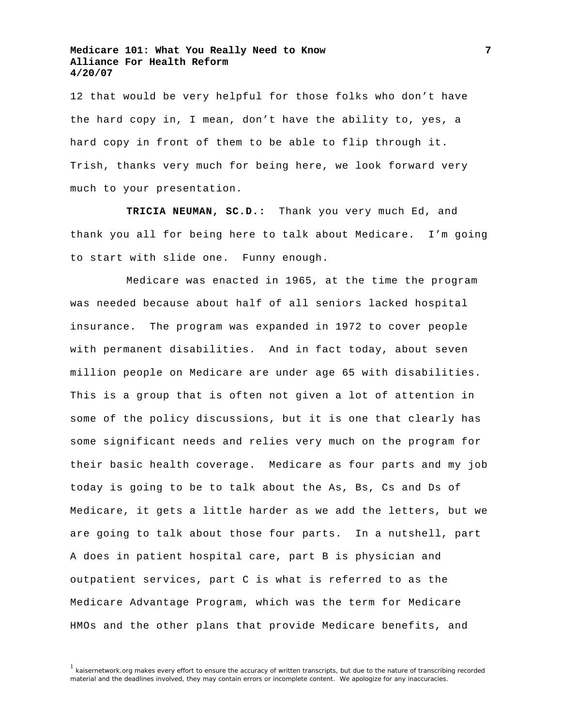12 that would be very helpful for those folks who don't have the hard copy in, I mean, don't have the ability to, yes, a hard copy in front of them to be able to flip through it. Trish, thanks very much for being here, we look forward very much to your presentation.

 **TRICIA NEUMAN, SC.D.:** Thank you very much Ed, and thank you all for being here to talk about Medicare. I'm going to start with slide one. Funny enough.

 Medicare was enacted in 1965, at the time the program was needed because about half of all seniors lacked hospital insurance. The program was expanded in 1972 to cover people with permanent disabilities. And in fact today, about seven million people on Medicare are under age 65 with disabilities. This is a group that is often not given a lot of attention in some of the policy discussions, but it is one that clearly has some significant needs and relies very much on the program for their basic health coverage. Medicare as four parts and my job today is going to be to talk about the As, Bs, Cs and Ds of Medicare, it gets a little harder as we add the letters, but we are going to talk about those four parts. In a nutshell, part A does in patient hospital care, part B is physician and outpatient services, part C is what is referred to as the Medicare Advantage Program, which was the term for Medicare HMOs and the other plans that provide Medicare benefits, and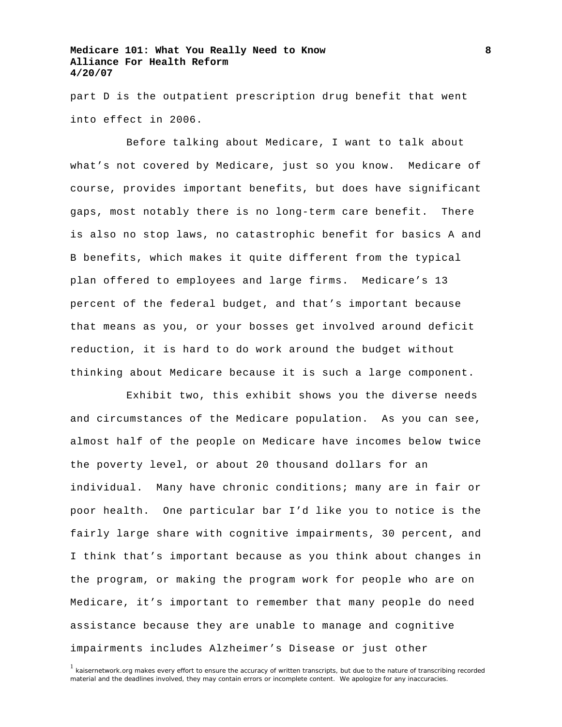part D is the outpatient prescription drug benefit that went into effect in 2006.

 Before talking about Medicare, I want to talk about what's not covered by Medicare, just so you know. Medicare of course, provides important benefits, but does have significant gaps, most notably there is no long-term care benefit. There is also no stop laws, no catastrophic benefit for basics A and B benefits, which makes it quite different from the typical plan offered to employees and large firms. Medicare's 13 percent of the federal budget, and that's important because that means as you, or your bosses get involved around deficit reduction, it is hard to do work around the budget without thinking about Medicare because it is such a large component.

 Exhibit two, this exhibit shows you the diverse needs and circumstances of the Medicare population. As you can see, almost half of the people on Medicare have incomes below twice the poverty level, or about 20 thousand dollars for an individual. Many have chronic conditions; many are in fair or poor health. One particular bar I'd like you to notice is the fairly large share with cognitive impairments, 30 percent, and I think that's important because as you think about changes in the program, or making the program work for people who are on Medicare, it's important to remember that many people do need assistance because they are unable to manage and cognitive impairments includes Alzheimer's Disease or just other

<sup>&</sup>lt;sup>1</sup> kaisernetwork.org makes every effort to ensure the accuracy of written transcripts, but due to the nature of transcribing recorded material and the deadlines involved, they may contain errors or incomplete content. We apologize for any inaccuracies.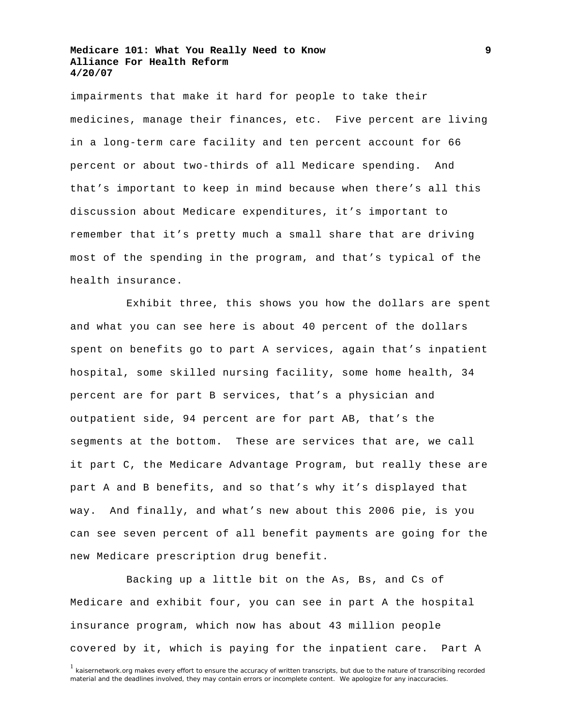impairments that make it hard for people to take their medicines, manage their finances, etc. Five percent are living in a long-term care facility and ten percent account for 66 percent or about two-thirds of all Medicare spending. And that's important to keep in mind because when there's all this discussion about Medicare expenditures, it's important to remember that it's pretty much a small share that are driving most of the spending in the program, and that's typical of the health insurance.

 Exhibit three, this shows you how the dollars are spent and what you can see here is about 40 percent of the dollars spent on benefits go to part A services, again that's inpatient hospital, some skilled nursing facility, some home health, 34 percent are for part B services, that's a physician and outpatient side, 94 percent are for part AB, that's the segments at the bottom. These are services that are, we call it part C, the Medicare Advantage Program, but really these are part A and B benefits, and so that's why it's displayed that way. And finally, and what's new about this 2006 pie, is you can see seven percent of all benefit payments are going for the new Medicare prescription drug benefit.

 Backing up a little bit on the As, Bs, and Cs of Medicare and exhibit four, you can see in part A the hospital insurance program, which now has about 43 million people covered by it, which is paying for the inpatient care. Part A

**9**

<sup>&</sup>lt;sup>1</sup> kaisernetwork.org makes every effort to ensure the accuracy of written transcripts, but due to the nature of transcribing recorded material and the deadlines involved, they may contain errors or incomplete content. We apologize for any inaccuracies.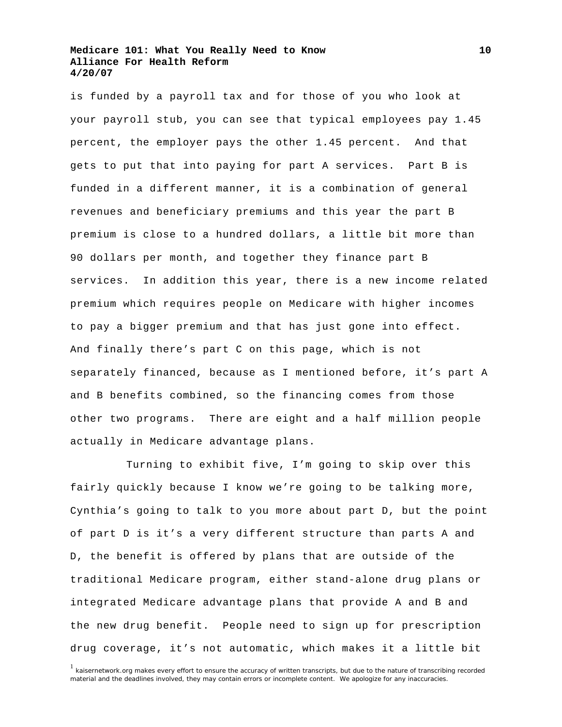is funded by a payroll tax and for those of you who look at your payroll stub, you can see that typical employees pay 1.45 percent, the employer pays the other 1.45 percent. And that gets to put that into paying for part A services. Part B is funded in a different manner, it is a combination of general revenues and beneficiary premiums and this year the part B premium is close to a hundred dollars, a little bit more than 90 dollars per month, and together they finance part B services. In addition this year, there is a new income related premium which requires people on Medicare with higher incomes to pay a bigger premium and that has just gone into effect. And finally there's part C on this page, which is not separately financed, because as I mentioned before, it's part A and B benefits combined, so the financing comes from those other two programs. There are eight and a half million people actually in Medicare advantage plans.

 Turning to exhibit five, I'm going to skip over this fairly quickly because I know we're going to be talking more, Cynthia's going to talk to you more about part D, but the point of part D is it's a very different structure than parts A and D, the benefit is offered by plans that are outside of the traditional Medicare program, either stand-alone drug plans or integrated Medicare advantage plans that provide A and B and the new drug benefit. People need to sign up for prescription drug coverage, it's not automatic, which makes it a little bit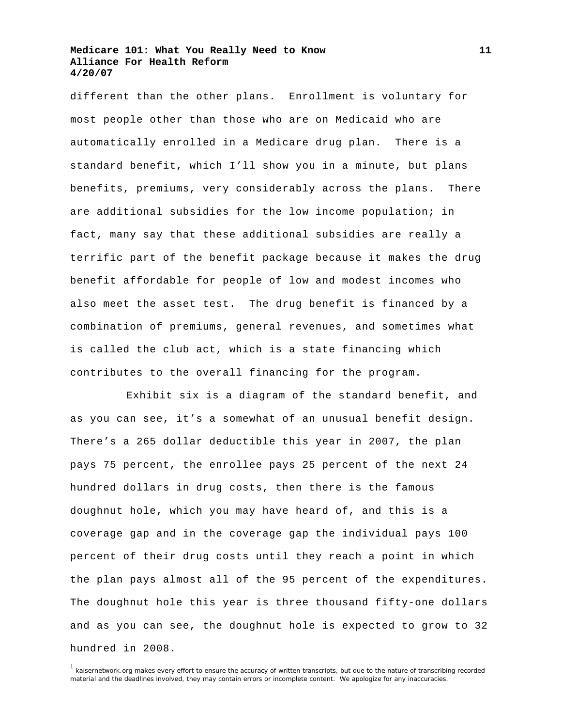different than the other plans. Enrollment is voluntary for most people other than those who are on Medicaid who are automatically enrolled in a Medicare drug plan. There is a standard benefit, which I'll show you in a minute, but plans benefits, premiums, very considerably across the plans. There are additional subsidies for the low income population; in fact, many say that these additional subsidies are really a terrific part of the benefit package because it makes the drug benefit affordable for people of low and modest incomes who also meet the asset test. The drug benefit is financed by a combination of premiums, general revenues, and sometimes what is called the club act, which is a state financing which contributes to the overall financing for the program.

 Exhibit six is a diagram of the standard benefit, and as you can see, it's a somewhat of an unusual benefit design. There's a 265 dollar deductible this year in 2007, the plan pays 75 percent, the enrollee pays 25 percent of the next 24 hundred dollars in drug costs, then there is the famous doughnut hole, which you may have heard of, and this is a coverage gap and in the coverage gap the individual pays 100 percent of their drug costs until they reach a point in which the plan pays almost all of the 95 percent of the expenditures. The doughnut hole this year is three thousand fifty-one dollars and as you can see, the doughnut hole is expected to grow to 32 hundred in 2008.

<sup>&</sup>lt;sup>1</sup> kaisernetwork.org makes every effort to ensure the accuracy of written transcripts, but due to the nature of transcribing recorded material and the deadlines involved, they may contain errors or incomplete content. We apologize for any inaccuracies.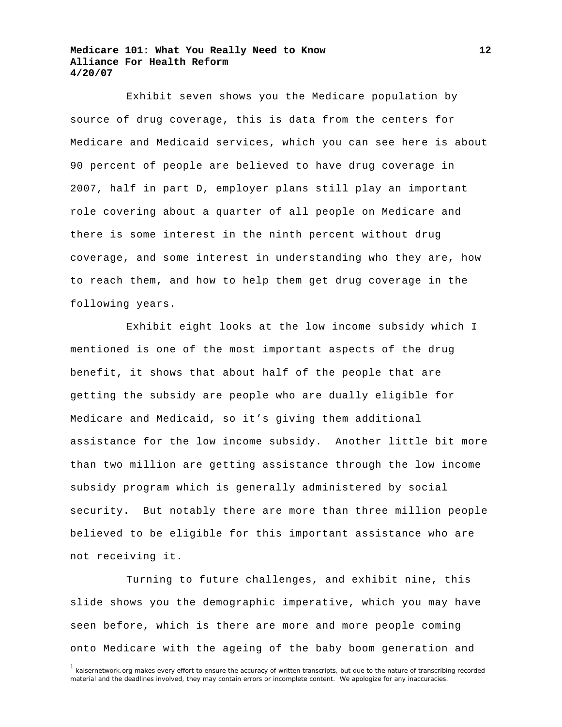Exhibit seven shows you the Medicare population by source of drug coverage, this is data from the centers for Medicare and Medicaid services, which you can see here is about 90 percent of people are believed to have drug coverage in 2007, half in part D, employer plans still play an important role covering about a quarter of all people on Medicare and there is some interest in the ninth percent without drug coverage, and some interest in understanding who they are, how to reach them, and how to help them get drug coverage in the following years.

 Exhibit eight looks at the low income subsidy which I mentioned is one of the most important aspects of the drug benefit, it shows that about half of the people that are getting the subsidy are people who are dually eligible for Medicare and Medicaid, so it's giving them additional assistance for the low income subsidy. Another little bit more than two million are getting assistance through the low income subsidy program which is generally administered by social security. But notably there are more than three million people believed to be eligible for this important assistance who are not receiving it.

 Turning to future challenges, and exhibit nine, this slide shows you the demographic imperative, which you may have seen before, which is there are more and more people coming onto Medicare with the ageing of the baby boom generation and

**12**

<sup>&</sup>lt;sup>1</sup> kaisernetwork.org makes every effort to ensure the accuracy of written transcripts, but due to the nature of transcribing recorded material and the deadlines involved, they may contain errors or incomplete content. We apologize for any inaccuracies.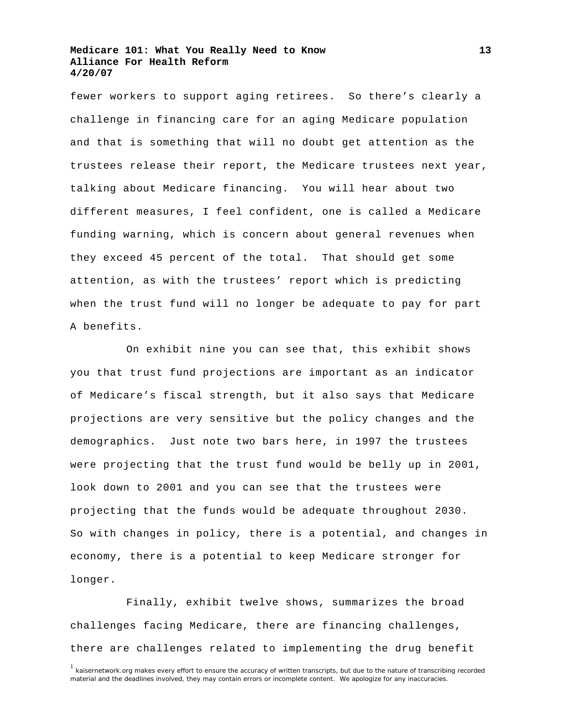fewer workers to support aging retirees. So there's clearly a challenge in financing care for an aging Medicare population and that is something that will no doubt get attention as the trustees release their report, the Medicare trustees next year, talking about Medicare financing. You will hear about two different measures, I feel confident, one is called a Medicare funding warning, which is concern about general revenues when they exceed 45 percent of the total. That should get some attention, as with the trustees' report which is predicting when the trust fund will no longer be adequate to pay for part A benefits.

 On exhibit nine you can see that, this exhibit shows you that trust fund projections are important as an indicator of Medicare's fiscal strength, but it also says that Medicare projections are very sensitive but the policy changes and the demographics. Just note two bars here, in 1997 the trustees were projecting that the trust fund would be belly up in 2001, look down to 2001 and you can see that the trustees were projecting that the funds would be adequate throughout 2030. So with changes in policy, there is a potential, and changes in economy, there is a potential to keep Medicare stronger for longer.

 Finally, exhibit twelve shows, summarizes the broad challenges facing Medicare, there are financing challenges, there are challenges related to implementing the drug benefit

<sup>&</sup>lt;sup>1</sup> kaisernetwork.org makes every effort to ensure the accuracy of written transcripts, but due to the nature of transcribing recorded material and the deadlines involved, they may contain errors or incomplete content. We apologize for any inaccuracies.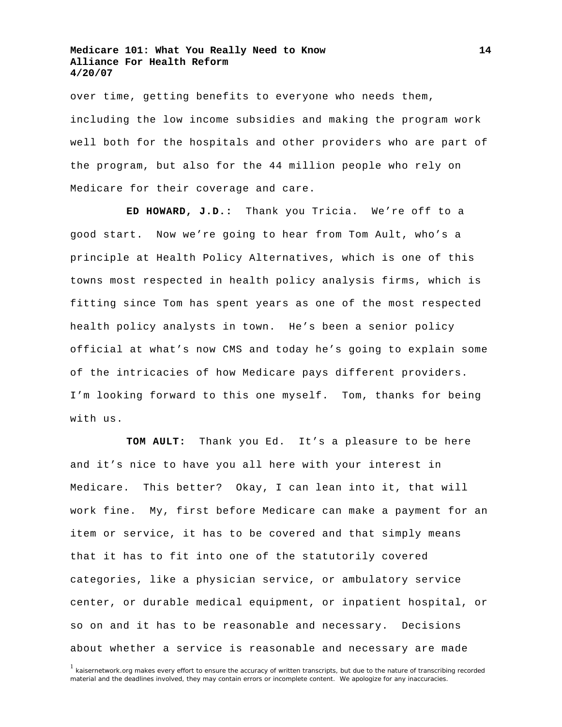over time, getting benefits to everyone who needs them, including the low income subsidies and making the program work well both for the hospitals and other providers who are part of the program, but also for the 44 million people who rely on Medicare for their coverage and care.

**ED HOWARD, J.D.:** Thank you Tricia. We're off to a good start. Now we're going to hear from Tom Ault, who's a principle at Health Policy Alternatives, which is one of this towns most respected in health policy analysis firms, which is fitting since Tom has spent years as one of the most respected health policy analysts in town. He's been a senior policy official at what's now CMS and today he's going to explain some of the intricacies of how Medicare pays different providers. I'm looking forward to this one myself. Tom, thanks for being with us.

**TOM AULT:** Thank you Ed. It's a pleasure to be here and it's nice to have you all here with your interest in Medicare. This better? Okay, I can lean into it, that will work fine. My, first before Medicare can make a payment for an item or service, it has to be covered and that simply means that it has to fit into one of the statutorily covered categories, like a physician service, or ambulatory service center, or durable medical equipment, or inpatient hospital, or so on and it has to be reasonable and necessary. Decisions about whether a service is reasonable and necessary are made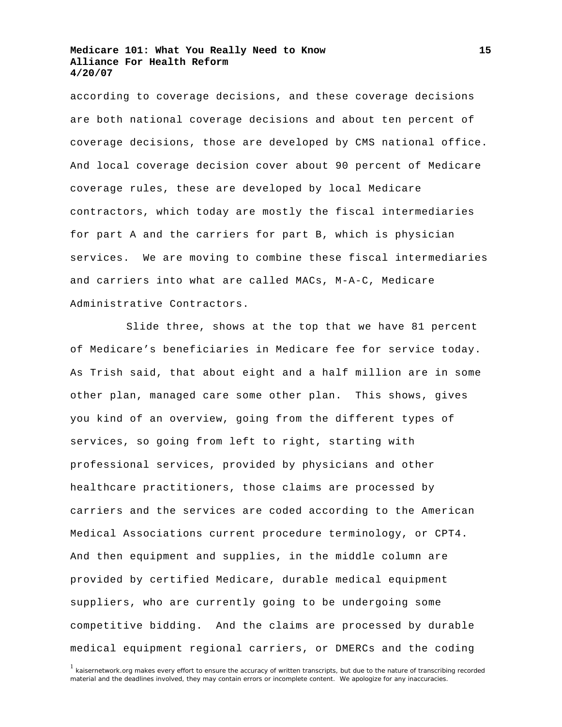according to coverage decisions, and these coverage decisions are both national coverage decisions and about ten percent of coverage decisions, those are developed by CMS national office. And local coverage decision cover about 90 percent of Medicare coverage rules, these are developed by local Medicare contractors, which today are mostly the fiscal intermediaries for part A and the carriers for part B, which is physician services. We are moving to combine these fiscal intermediaries and carriers into what are called MACs, M-A-C, Medicare Administrative Contractors.

 Slide three, shows at the top that we have 81 percent of Medicare's beneficiaries in Medicare fee for service today. As Trish said, that about eight and a half million are in some other plan, managed care some other plan. This shows, gives you kind of an overview, going from the different types of services, so going from left to right, starting with professional services, provided by physicians and other healthcare practitioners, those claims are processed by carriers and the services are coded according to the American Medical Associations current procedure terminology, or CPT4. And then equipment and supplies, in the middle column are provided by certified Medicare, durable medical equipment suppliers, who are currently going to be undergoing some competitive bidding. And the claims are processed by durable medical equipment regional carriers, or DMERCs and the coding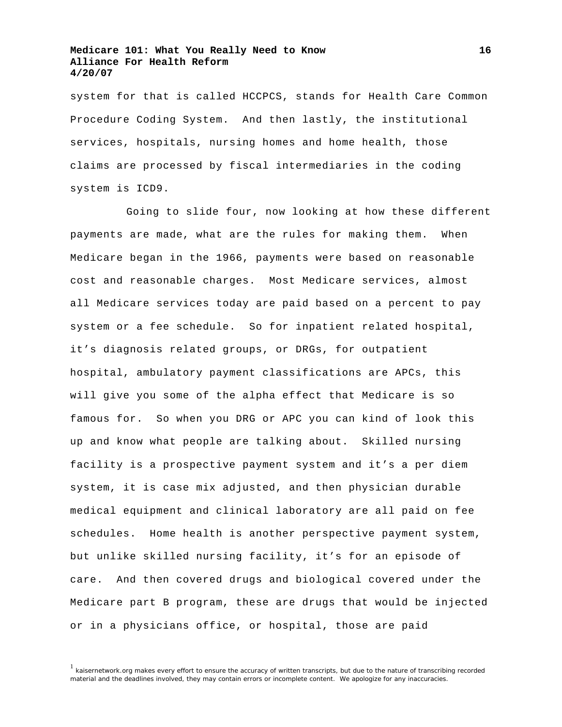system for that is called HCCPCS, stands for Health Care Common Procedure Coding System. And then lastly, the institutional services, hospitals, nursing homes and home health, those claims are processed by fiscal intermediaries in the coding system is ICD9.

 Going to slide four, now looking at how these different payments are made, what are the rules for making them. When Medicare began in the 1966, payments were based on reasonable cost and reasonable charges. Most Medicare services, almost all Medicare services today are paid based on a percent to pay system or a fee schedule. So for inpatient related hospital, it's diagnosis related groups, or DRGs, for outpatient hospital, ambulatory payment classifications are APCs, this will give you some of the alpha effect that Medicare is so famous for. So when you DRG or APC you can kind of look this up and know what people are talking about. Skilled nursing facility is a prospective payment system and it's a per diem system, it is case mix adjusted, and then physician durable medical equipment and clinical laboratory are all paid on fee schedules. Home health is another perspective payment system, but unlike skilled nursing facility, it's for an episode of care. And then covered drugs and biological covered under the Medicare part B program, these are drugs that would be injected or in a physicians office, or hospital, those are paid

**16**

 $<sup>1</sup>$  kaisernetwork.org makes every effort to ensure the accuracy of written transcripts, but due to the nature of transcribing recorded</sup> material and the deadlines involved, they may contain errors or incomplete content. We apologize for any inaccuracies.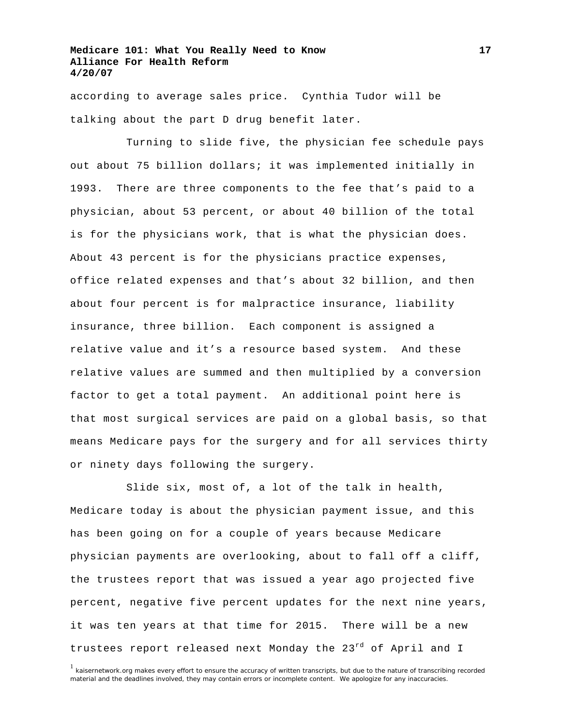according to average sales price. Cynthia Tudor will be talking about the part D drug benefit later.

 Turning to slide five, the physician fee schedule pays out about 75 billion dollars; it was implemented initially in 1993. There are three components to the fee that's paid to a physician, about 53 percent, or about 40 billion of the total is for the physicians work, that is what the physician does. About 43 percent is for the physicians practice expenses, office related expenses and that's about 32 billion, and then about four percent is for malpractice insurance, liability insurance, three billion. Each component is assigned a relative value and it's a resource based system. And these relative values are summed and then multiplied by a conversion factor to get a total payment. An additional point here is that most surgical services are paid on a global basis, so that means Medicare pays for the surgery and for all services thirty or ninety days following the surgery.

 Slide six, most of, a lot of the talk in health, Medicare today is about the physician payment issue, and this has been going on for a couple of years because Medicare physician payments are overlooking, about to fall off a cliff, the trustees report that was issued a year ago projected five percent, negative five percent updates for the next nine years, it was ten years at that time for 2015. There will be a new trustees report released next Monday the 23<sup>rd</sup> of April and I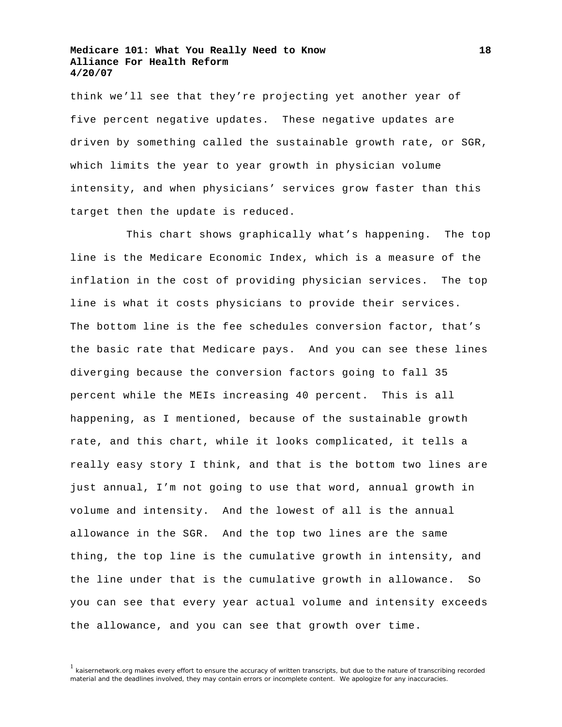think we'll see that they're projecting yet another year of five percent negative updates. These negative updates are driven by something called the sustainable growth rate, or SGR, which limits the year to year growth in physician volume intensity, and when physicians' services grow faster than this target then the update is reduced.

 This chart shows graphically what's happening. The top line is the Medicare Economic Index, which is a measure of the inflation in the cost of providing physician services. The top line is what it costs physicians to provide their services. The bottom line is the fee schedules conversion factor, that's the basic rate that Medicare pays. And you can see these lines diverging because the conversion factors going to fall 35 percent while the MEIs increasing 40 percent. This is all happening, as I mentioned, because of the sustainable growth rate, and this chart, while it looks complicated, it tells a really easy story I think, and that is the bottom two lines are just annual, I'm not going to use that word, annual growth in volume and intensity. And the lowest of all is the annual allowance in the SGR. And the top two lines are the same thing, the top line is the cumulative growth in intensity, and the line under that is the cumulative growth in allowance. So you can see that every year actual volume and intensity exceeds the allowance, and you can see that growth over time.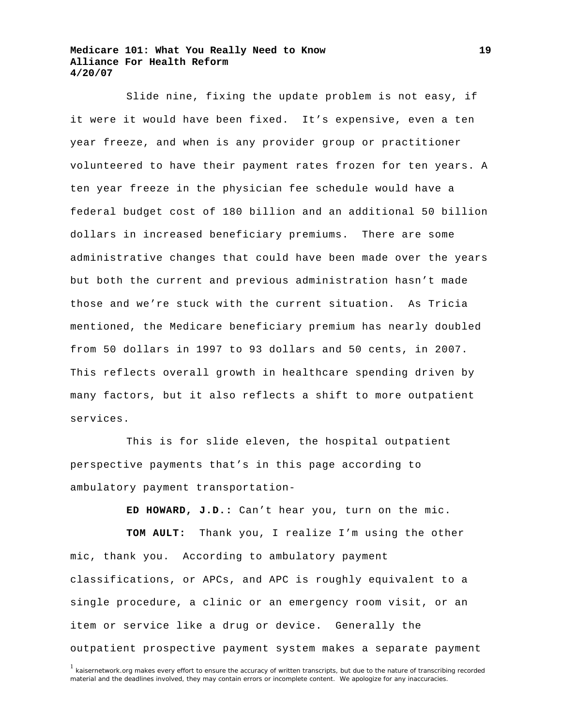Slide nine, fixing the update problem is not easy, if it were it would have been fixed. It's expensive, even a ten year freeze, and when is any provider group or practitioner volunteered to have their payment rates frozen for ten years. A ten year freeze in the physician fee schedule would have a federal budget cost of 180 billion and an additional 50 billion dollars in increased beneficiary premiums. There are some administrative changes that could have been made over the years but both the current and previous administration hasn't made those and we're stuck with the current situation. As Tricia mentioned, the Medicare beneficiary premium has nearly doubled from 50 dollars in 1997 to 93 dollars and 50 cents, in 2007. This reflects overall growth in healthcare spending driven by many factors, but it also reflects a shift to more outpatient services.

 This is for slide eleven, the hospital outpatient perspective payments that's in this page according to ambulatory payment transportation-

**ED HOWARD, J.D.:** Can't hear you, turn on the mic.

**TOM AULT:** Thank you, I realize I'm using the other mic, thank you. According to ambulatory payment classifications, or APCs, and APC is roughly equivalent to a single procedure, a clinic or an emergency room visit, or an item or service like a drug or device. Generally the outpatient prospective payment system makes a separate payment

<sup>&</sup>lt;sup>1</sup> kaisernetwork.org makes every effort to ensure the accuracy of written transcripts, but due to the nature of transcribing recorded material and the deadlines involved, they may contain errors or incomplete content. We apologize for any inaccuracies.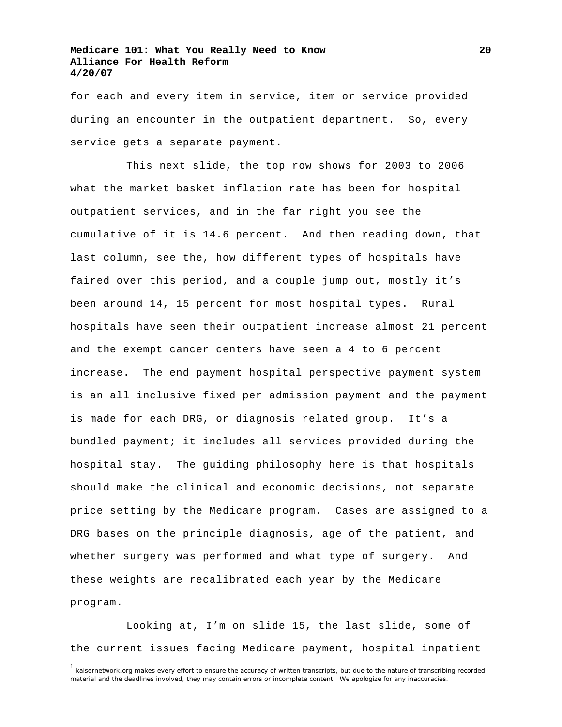for each and every item in service, item or service provided during an encounter in the outpatient department. So, every service gets a separate payment.

 This next slide, the top row shows for 2003 to 2006 what the market basket inflation rate has been for hospital outpatient services, and in the far right you see the cumulative of it is 14.6 percent. And then reading down, that last column, see the, how different types of hospitals have faired over this period, and a couple jump out, mostly it's been around 14, 15 percent for most hospital types. Rural hospitals have seen their outpatient increase almost 21 percent and the exempt cancer centers have seen a 4 to 6 percent increase. The end payment hospital perspective payment system is an all inclusive fixed per admission payment and the payment is made for each DRG, or diagnosis related group. It's a bundled payment; it includes all services provided during the hospital stay. The guiding philosophy here is that hospitals should make the clinical and economic decisions, not separate price setting by the Medicare program. Cases are assigned to a DRG bases on the principle diagnosis, age of the patient, and whether surgery was performed and what type of surgery. And these weights are recalibrated each year by the Medicare program.

 Looking at, I'm on slide 15, the last slide, some of the current issues facing Medicare payment, hospital inpatient

**20**

 $1$  kaisernetwork.org makes every effort to ensure the accuracy of written transcripts, but due to the nature of transcribing recorded material and the deadlines involved, they may contain errors or incomplete content. We apologize for any inaccuracies.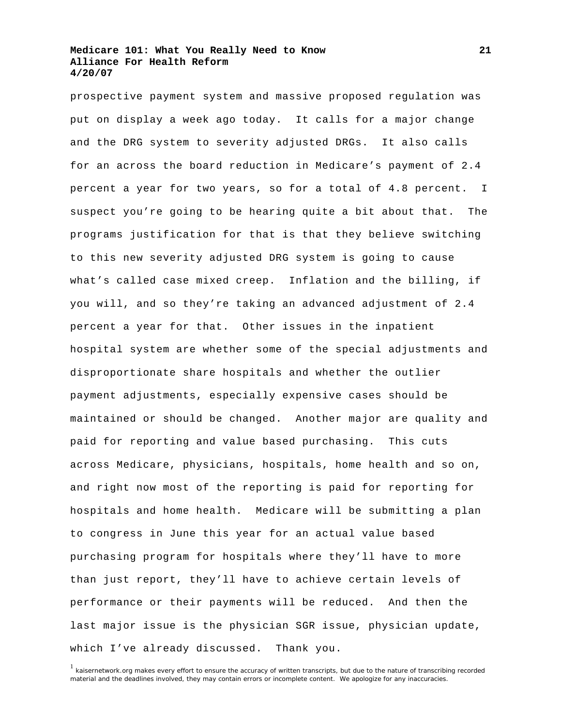prospective payment system and massive proposed regulation was put on display a week ago today. It calls for a major change and the DRG system to severity adjusted DRGs. It also calls for an across the board reduction in Medicare's payment of 2.4 percent a year for two years, so for a total of 4.8 percent. I suspect you're going to be hearing quite a bit about that. The programs justification for that is that they believe switching to this new severity adjusted DRG system is going to cause what's called case mixed creep. Inflation and the billing, if you will, and so they're taking an advanced adjustment of 2.4 percent a year for that. Other issues in the inpatient hospital system are whether some of the special adjustments and disproportionate share hospitals and whether the outlier payment adjustments, especially expensive cases should be maintained or should be changed. Another major are quality and paid for reporting and value based purchasing. This cuts across Medicare, physicians, hospitals, home health and so on, and right now most of the reporting is paid for reporting for hospitals and home health. Medicare will be submitting a plan to congress in June this year for an actual value based purchasing program for hospitals where they'll have to more than just report, they'll have to achieve certain levels of performance or their payments will be reduced. And then the last major issue is the physician SGR issue, physician update, which I've already discussed. Thank you.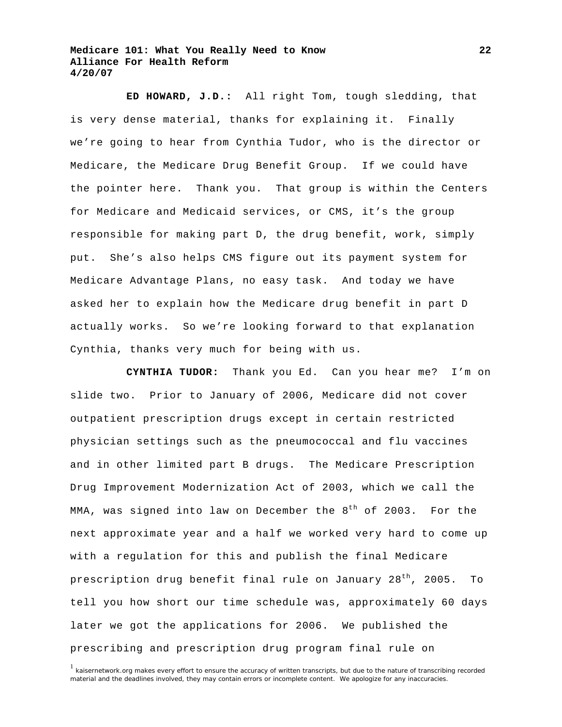**ED HOWARD, J.D.:** All right Tom, tough sledding, that is very dense material, thanks for explaining it. Finally we're going to hear from Cynthia Tudor, who is the director or Medicare, the Medicare Drug Benefit Group. If we could have the pointer here. Thank you. That group is within the Centers for Medicare and Medicaid services, or CMS, it's the group responsible for making part D, the drug benefit, work, simply put. She's also helps CMS figure out its payment system for Medicare Advantage Plans, no easy task. And today we have asked her to explain how the Medicare drug benefit in part D actually works. So we're looking forward to that explanation Cynthia, thanks very much for being with us.

**CYNTHIA TUDOR:** Thank you Ed. Can you hear me? I'm on slide two. Prior to January of 2006, Medicare did not cover outpatient prescription drugs except in certain restricted physician settings such as the pneumococcal and flu vaccines and in other limited part B drugs. The Medicare Prescription Drug Improvement Modernization Act of 2003, which we call the MMA, was signed into law on December the  $8<sup>th</sup>$  of 2003. For the next approximate year and a half we worked very hard to come up with a regulation for this and publish the final Medicare prescription drug benefit final rule on January 28<sup>th</sup>, 2005. To tell you how short our time schedule was, approximately 60 days later we got the applications for 2006. We published the prescribing and prescription drug program final rule on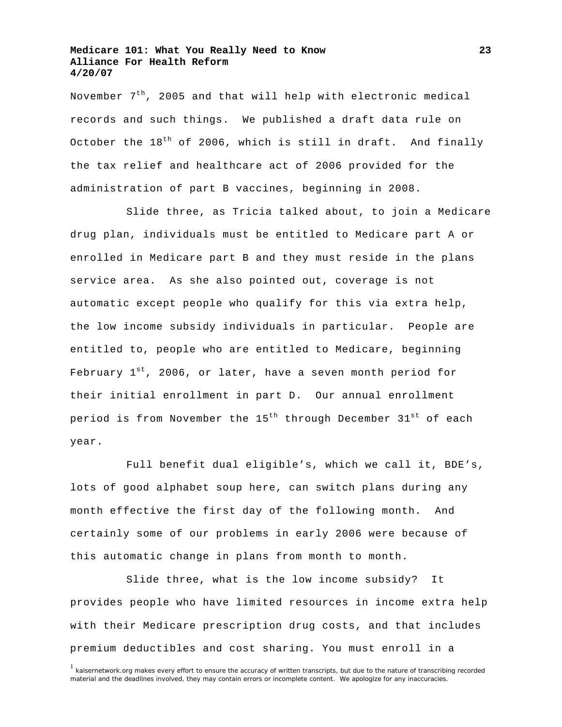November  $7<sup>th</sup>$ , 2005 and that will help with electronic medical records and such things. We published a draft data rule on October the  $18<sup>th</sup>$  of 2006, which is still in draft. And finally the tax relief and healthcare act of 2006 provided for the administration of part B vaccines, beginning in 2008.

 Slide three, as Tricia talked about, to join a Medicare drug plan, individuals must be entitled to Medicare part A or enrolled in Medicare part B and they must reside in the plans service area. As she also pointed out, coverage is not automatic except people who qualify for this via extra help, the low income subsidy individuals in particular. People are entitled to, people who are entitled to Medicare, beginning February  $1^{st}$ , 2006, or later, have a seven month period for their initial enrollment in part D. Our annual enrollment period is from November the 15<sup>th</sup> through December 31<sup>st</sup> of each year.

 Full benefit dual eligible's, which we call it, BDE's, lots of good alphabet soup here, can switch plans during any month effective the first day of the following month. And certainly some of our problems in early 2006 were because of this automatic change in plans from month to month.

 Slide three, what is the low income subsidy? It provides people who have limited resources in income extra help with their Medicare prescription drug costs, and that includes premium deductibles and cost sharing. You must enroll in a

**23**

<sup>&</sup>lt;sup>1</sup> kaisernetwork.org makes every effort to ensure the accuracy of written transcripts, but due to the nature of transcribing recorded material and the deadlines involved, they may contain errors or incomplete content. We apologize for any inaccuracies.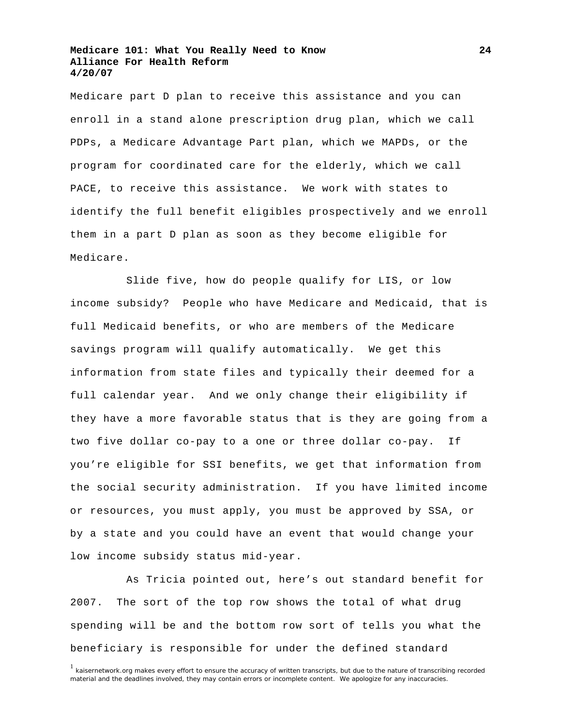Medicare part D plan to receive this assistance and you can enroll in a stand alone prescription drug plan, which we call PDPs, a Medicare Advantage Part plan, which we MAPDs, or the program for coordinated care for the elderly, which we call PACE, to receive this assistance. We work with states to identify the full benefit eligibles prospectively and we enroll them in a part D plan as soon as they become eligible for Medicare.

 Slide five, how do people qualify for LIS, or low income subsidy? People who have Medicare and Medicaid, that is full Medicaid benefits, or who are members of the Medicare savings program will qualify automatically. We get this information from state files and typically their deemed for a full calendar year. And we only change their eligibility if they have a more favorable status that is they are going from a two five dollar co-pay to a one or three dollar co-pay. If you're eligible for SSI benefits, we get that information from the social security administration. If you have limited income or resources, you must apply, you must be approved by SSA, or by a state and you could have an event that would change your low income subsidy status mid-year.

 As Tricia pointed out, here's out standard benefit for 2007. The sort of the top row shows the total of what drug spending will be and the bottom row sort of tells you what the beneficiary is responsible for under the defined standard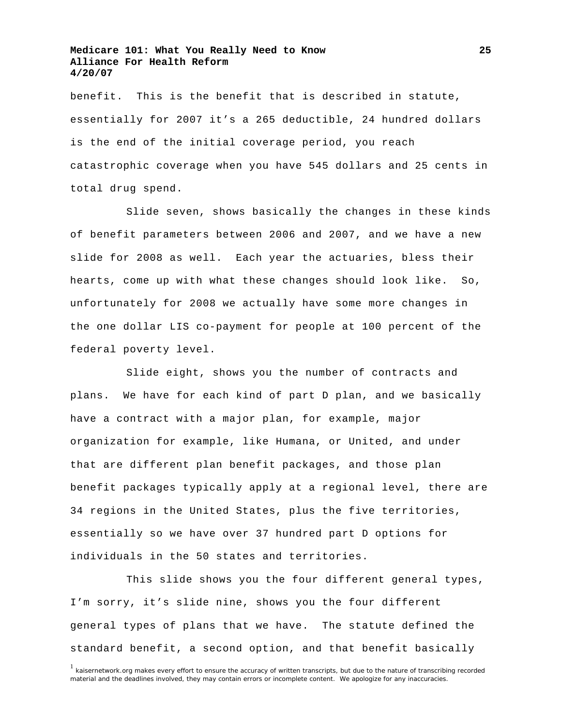benefit. This is the benefit that is described in statute, essentially for 2007 it's a 265 deductible, 24 hundred dollars is the end of the initial coverage period, you reach catastrophic coverage when you have 545 dollars and 25 cents in total drug spend.

 Slide seven, shows basically the changes in these kinds of benefit parameters between 2006 and 2007, and we have a new slide for 2008 as well. Each year the actuaries, bless their hearts, come up with what these changes should look like. So, unfortunately for 2008 we actually have some more changes in the one dollar LIS co-payment for people at 100 percent of the federal poverty level.

 Slide eight, shows you the number of contracts and plans. We have for each kind of part D plan, and we basically have a contract with a major plan, for example, major organization for example, like Humana, or United, and under that are different plan benefit packages, and those plan benefit packages typically apply at a regional level, there are 34 regions in the United States, plus the five territories, essentially so we have over 37 hundred part D options for individuals in the 50 states and territories.

 This slide shows you the four different general types, I'm sorry, it's slide nine, shows you the four different general types of plans that we have. The statute defined the standard benefit, a second option, and that benefit basically

<sup>&</sup>lt;sup>1</sup> kaisernetwork.org makes every effort to ensure the accuracy of written transcripts, but due to the nature of transcribing recorded material and the deadlines involved, they may contain errors or incomplete content. We apologize for any inaccuracies.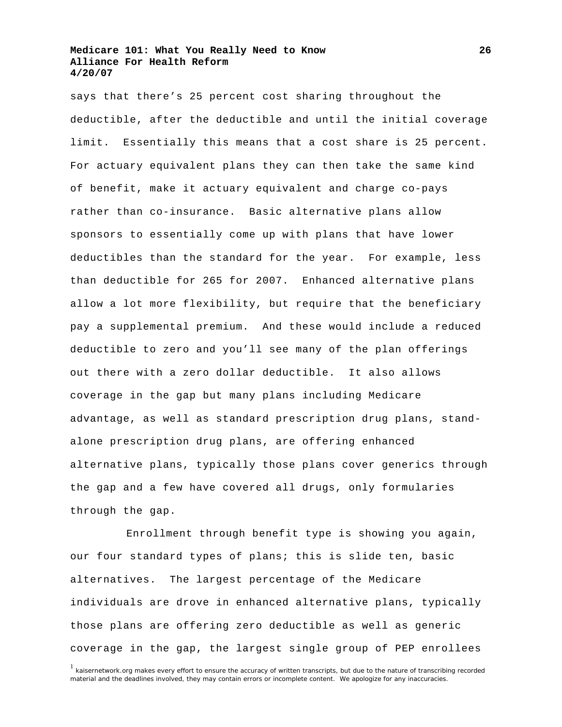says that there's 25 percent cost sharing throughout the deductible, after the deductible and until the initial coverage limit. Essentially this means that a cost share is 25 percent. For actuary equivalent plans they can then take the same kind of benefit, make it actuary equivalent and charge co-pays rather than co-insurance. Basic alternative plans allow sponsors to essentially come up with plans that have lower deductibles than the standard for the year. For example, less than deductible for 265 for 2007. Enhanced alternative plans allow a lot more flexibility, but require that the beneficiary pay a supplemental premium. And these would include a reduced deductible to zero and you'll see many of the plan offerings out there with a zero dollar deductible. It also allows coverage in the gap but many plans including Medicare advantage, as well as standard prescription drug plans, standalone prescription drug plans, are offering enhanced alternative plans, typically those plans cover generics through the gap and a few have covered all drugs, only formularies through the gap.

 Enrollment through benefit type is showing you again, our four standard types of plans; this is slide ten, basic alternatives. The largest percentage of the Medicare individuals are drove in enhanced alternative plans, typically those plans are offering zero deductible as well as generic coverage in the gap, the largest single group of PEP enrollees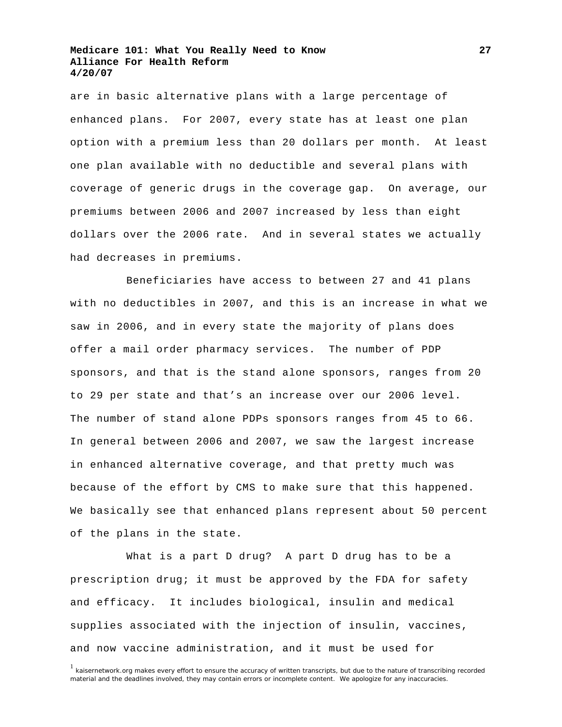are in basic alternative plans with a large percentage of enhanced plans. For 2007, every state has at least one plan option with a premium less than 20 dollars per month. At least one plan available with no deductible and several plans with coverage of generic drugs in the coverage gap. On average, our premiums between 2006 and 2007 increased by less than eight dollars over the 2006 rate. And in several states we actually had decreases in premiums.

 Beneficiaries have access to between 27 and 41 plans with no deductibles in 2007, and this is an increase in what we saw in 2006, and in every state the majority of plans does offer a mail order pharmacy services. The number of PDP sponsors, and that is the stand alone sponsors, ranges from 20 to 29 per state and that's an increase over our 2006 level. The number of stand alone PDPs sponsors ranges from 45 to 66. In general between 2006 and 2007, we saw the largest increase in enhanced alternative coverage, and that pretty much was because of the effort by CMS to make sure that this happened. We basically see that enhanced plans represent about 50 percent of the plans in the state.

 What is a part D drug? A part D drug has to be a prescription drug; it must be approved by the FDA for safety and efficacy. It includes biological, insulin and medical supplies associated with the injection of insulin, vaccines, and now vaccine administration, and it must be used for

**27**

<sup>&</sup>lt;sup>1</sup> kaisernetwork.org makes every effort to ensure the accuracy of written transcripts, but due to the nature of transcribing recorded material and the deadlines involved, they may contain errors or incomplete content. We apologize for any inaccuracies.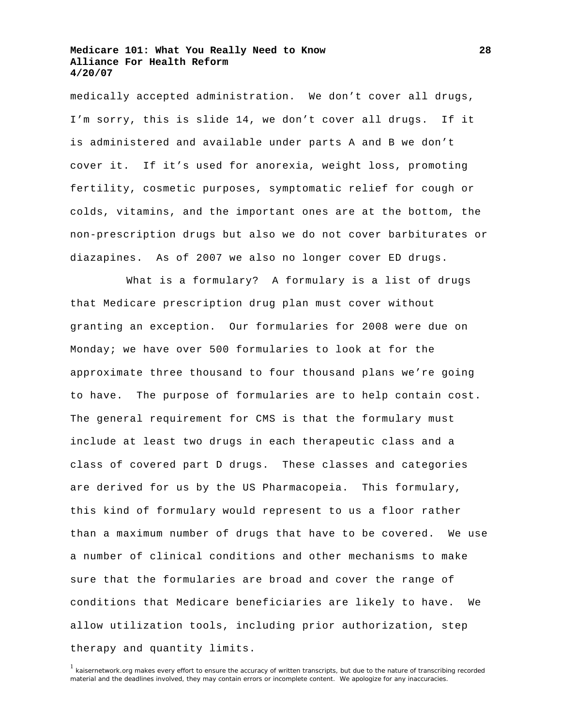medically accepted administration. We don't cover all drugs, I'm sorry, this is slide 14, we don't cover all drugs. If it is administered and available under parts A and B we don't cover it. If it's used for anorexia, weight loss, promoting fertility, cosmetic purposes, symptomatic relief for cough or colds, vitamins, and the important ones are at the bottom, the non-prescription drugs but also we do not cover barbiturates or diazapines. As of 2007 we also no longer cover ED drugs.

 What is a formulary? A formulary is a list of drugs that Medicare prescription drug plan must cover without granting an exception. Our formularies for 2008 were due on Monday; we have over 500 formularies to look at for the approximate three thousand to four thousand plans we're going to have. The purpose of formularies are to help contain cost. The general requirement for CMS is that the formulary must include at least two drugs in each therapeutic class and a class of covered part D drugs. These classes and categories are derived for us by the US Pharmacopeia. This formulary, this kind of formulary would represent to us a floor rather than a maximum number of drugs that have to be covered. We use a number of clinical conditions and other mechanisms to make sure that the formularies are broad and cover the range of conditions that Medicare beneficiaries are likely to have. We allow utilization tools, including prior authorization, step therapy and quantity limits.

<sup>&</sup>lt;sup>1</sup> kaisernetwork.org makes every effort to ensure the accuracy of written transcripts, but due to the nature of transcribing recorded material and the deadlines involved, they may contain errors or incomplete content. We apologize for any inaccuracies.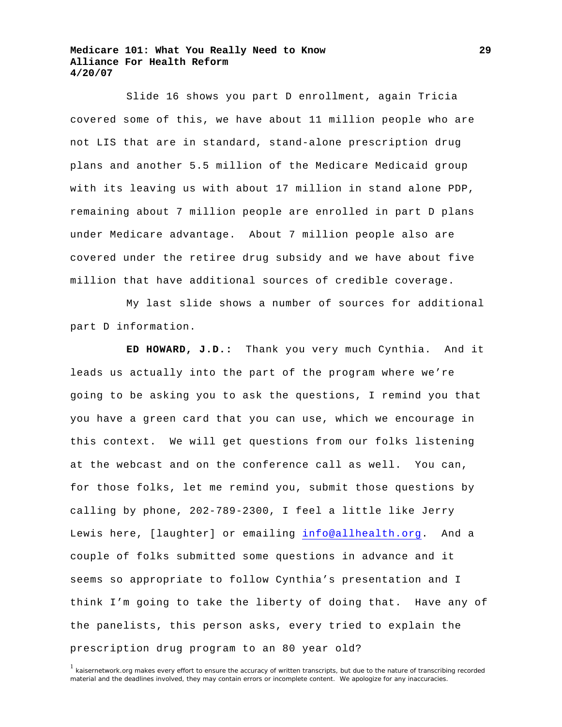Slide 16 shows you part D enrollment, again Tricia covered some of this, we have about 11 million people who are not LIS that are in standard, stand-alone prescription drug plans and another 5.5 million of the Medicare Medicaid group with its leaving us with about 17 million in stand alone PDP, remaining about 7 million people are enrolled in part D plans under Medicare advantage. About 7 million people also are covered under the retiree drug subsidy and we have about five million that have additional sources of credible coverage.

 My last slide shows a number of sources for additional part D information.

**ED HOWARD, J.D.:** Thank you very much Cynthia. And it leads us actually into the part of the program where we're going to be asking you to ask the questions, I remind you that you have a green card that you can use, which we encourage in this context. We will get questions from our folks listening at the webcast and on the conference call as well. You can, for those folks, let me remind you, submit those questions by calling by phone, 202-789-2300, I feel a little like Jerry Lewis here, [laughter] or emailing [info@allhealth.org.](mailto:info@allhealth.org) And a couple of folks submitted some questions in advance and it seems so appropriate to follow Cynthia's presentation and I think I'm going to take the liberty of doing that. Have any of the panelists, this person asks, every tried to explain the prescription drug program to an 80 year old?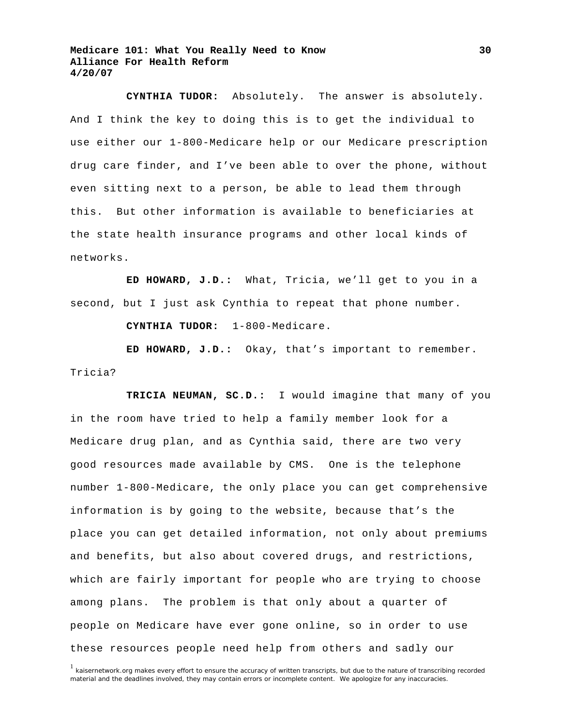**CYNTHIA TUDOR:** Absolutely. The answer is absolutely. And I think the key to doing this is to get the individual to use either our 1-800-Medicare help or our Medicare prescription drug care finder, and I've been able to over the phone, without even sitting next to a person, be able to lead them through this. But other information is available to beneficiaries at the state health insurance programs and other local kinds of networks.

**ED HOWARD, J.D.:** What, Tricia, we'll get to you in a second, but I just ask Cynthia to repeat that phone number.

**CYNTHIA TUDOR:** 1-800-Medicare.

**ED HOWARD, J.D.:** Okay, that's important to remember. Tricia?

**TRICIA NEUMAN, SC.D.:** I would imagine that many of you in the room have tried to help a family member look for a Medicare drug plan, and as Cynthia said, there are two very good resources made available by CMS. One is the telephone number 1-800-Medicare, the only place you can get comprehensive information is by going to the website, because that's the place you can get detailed information, not only about premiums and benefits, but also about covered drugs, and restrictions, which are fairly important for people who are trying to choose among plans. The problem is that only about a quarter of people on Medicare have ever gone online, so in order to use these resources people need help from others and sadly our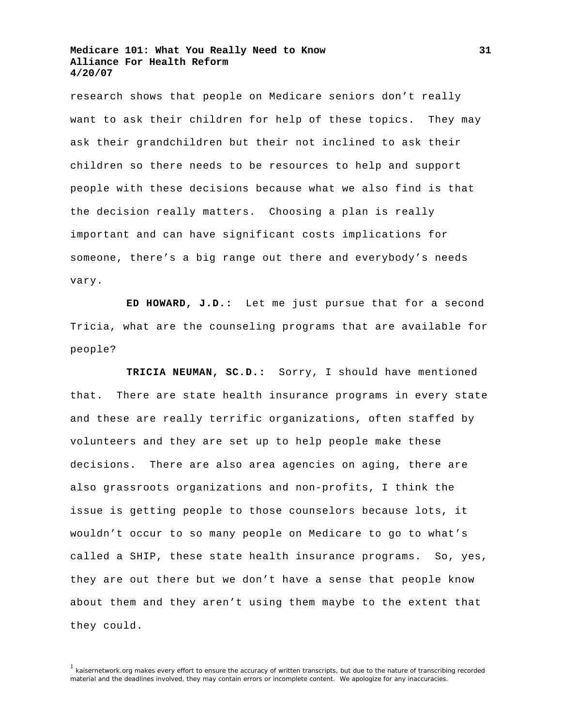research shows that people on Medicare seniors don't really want to ask their children for help of these topics. They may ask their grandchildren but their not inclined to ask their children so there needs to be resources to help and support people with these decisions because what we also find is that the decision really matters. Choosing a plan is really important and can have significant costs implications for someone, there's a big range out there and everybody's needs vary.

**ED HOWARD, J.D.:** Let me just pursue that for a second Tricia, what are the counseling programs that are available for people?

**TRICIA NEUMAN, SC.D.:** Sorry, I should have mentioned that. There are state health insurance programs in every state and these are really terrific organizations, often staffed by volunteers and they are set up to help people make these decisions. There are also area agencies on aging, there are also grassroots organizations and non-profits, I think the issue is getting people to those counselors because lots, it wouldn't occur to so many people on Medicare to go to what's called a SHIP, these state health insurance programs. So, yes, they are out there but we don't have a sense that people know about them and they aren't using them maybe to the extent that they could.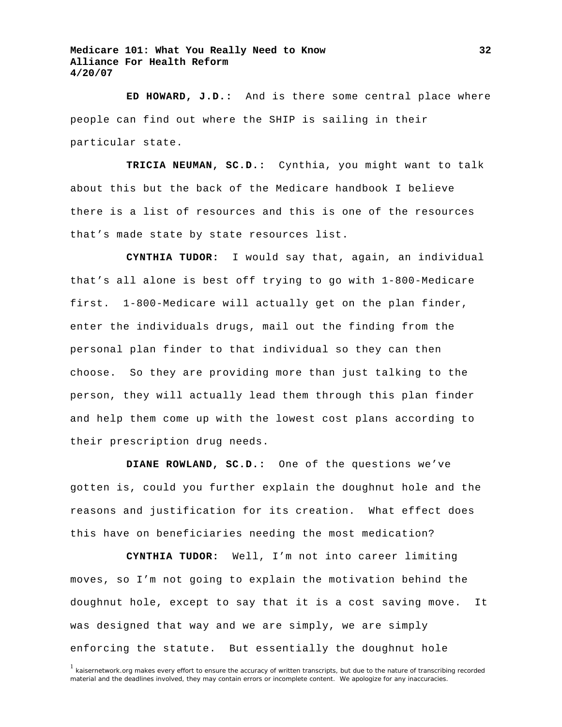**ED HOWARD, J.D.:** And is there some central place where people can find out where the SHIP is sailing in their particular state.

**TRICIA NEUMAN, SC.D.:** Cynthia, you might want to talk about this but the back of the Medicare handbook I believe there is a list of resources and this is one of the resources that's made state by state resources list.

**CYNTHIA TUDOR:** I would say that, again, an individual that's all alone is best off trying to go with 1-800-Medicare first. 1-800-Medicare will actually get on the plan finder, enter the individuals drugs, mail out the finding from the personal plan finder to that individual so they can then choose. So they are providing more than just talking to the person, they will actually lead them through this plan finder and help them come up with the lowest cost plans according to their prescription drug needs.

**DIANE ROWLAND, SC.D.:** One of the questions we've gotten is, could you further explain the doughnut hole and the reasons and justification for its creation. What effect does this have on beneficiaries needing the most medication?

**CYNTHIA TUDOR:** Well, I'm not into career limiting moves, so I'm not going to explain the motivation behind the doughnut hole, except to say that it is a cost saving move. It was designed that way and we are simply, we are simply enforcing the statute. But essentially the doughnut hole

**32**

<sup>&</sup>lt;sup>1</sup> kaisernetwork.org makes every effort to ensure the accuracy of written transcripts, but due to the nature of transcribing recorded material and the deadlines involved, they may contain errors or incomplete content. We apologize for any inaccuracies.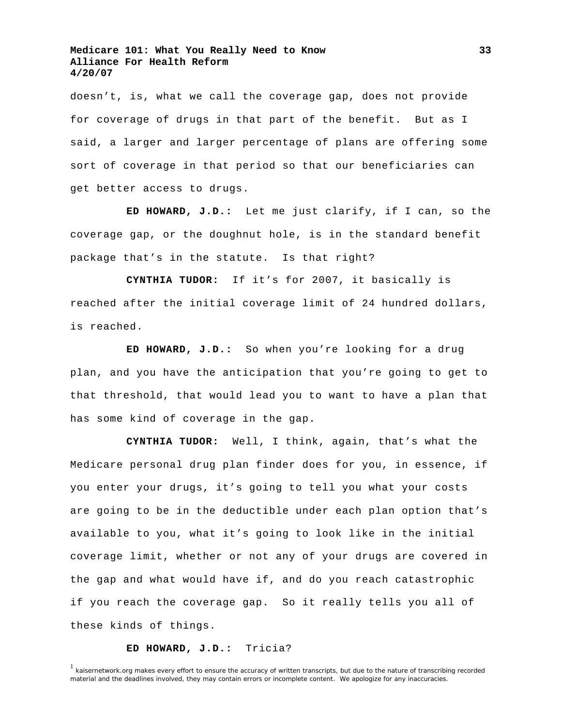doesn't, is, what we call the coverage gap, does not provide for coverage of drugs in that part of the benefit. But as I said, a larger and larger percentage of plans are offering some sort of coverage in that period so that our beneficiaries can get better access to drugs.

**ED HOWARD, J.D.:** Let me just clarify, if I can, so the coverage gap, or the doughnut hole, is in the standard benefit package that's in the statute. Is that right?

**CYNTHIA TUDOR:** If it's for 2007, it basically is reached after the initial coverage limit of 24 hundred dollars, is reached.

**ED HOWARD, J.D.:** So when you're looking for a drug plan, and you have the anticipation that you're going to get to that threshold, that would lead you to want to have a plan that has some kind of coverage in the gap.

**CYNTHIA TUDOR:** Well, I think, again, that's what the Medicare personal drug plan finder does for you, in essence, if you enter your drugs, it's going to tell you what your costs are going to be in the deductible under each plan option that's available to you, what it's going to look like in the initial coverage limit, whether or not any of your drugs are covered in the gap and what would have if, and do you reach catastrophic if you reach the coverage gap. So it really tells you all of these kinds of things.

#### **ED HOWARD, J.D.:** Tricia?

 $1$  kaisernetwork.org makes every effort to ensure the accuracy of written transcripts, but due to the nature of transcribing recorded material and the deadlines involved, they may contain errors or incomplete content. We apologize for any inaccuracies.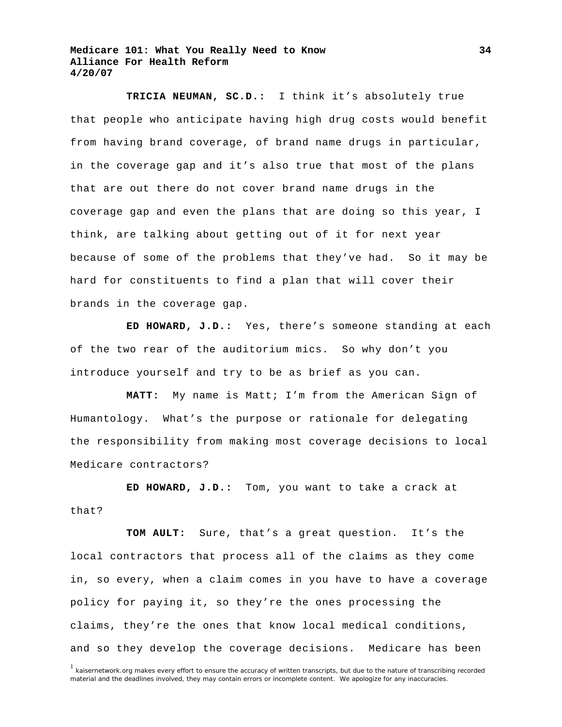**TRICIA NEUMAN, SC.D.:** I think it's absolutely true that people who anticipate having high drug costs would benefit from having brand coverage, of brand name drugs in particular, in the coverage gap and it's also true that most of the plans that are out there do not cover brand name drugs in the coverage gap and even the plans that are doing so this year, I think, are talking about getting out of it for next year because of some of the problems that they've had. So it may be hard for constituents to find a plan that will cover their brands in the coverage gap.

**ED HOWARD, J.D.:** Yes, there's someone standing at each of the two rear of the auditorium mics. So why don't you introduce yourself and try to be as brief as you can.

**MATT:** My name is Matt; I'm from the American Sign of Humantology. What's the purpose or rationale for delegating the responsibility from making most coverage decisions to local Medicare contractors?

**ED HOWARD, J.D.:** Tom, you want to take a crack at that?

**TOM AULT:** Sure, that's a great question. It's the local contractors that process all of the claims as they come in, so every, when a claim comes in you have to have a coverage policy for paying it, so they're the ones processing the claims, they're the ones that know local medical conditions, and so they develop the coverage decisions. Medicare has been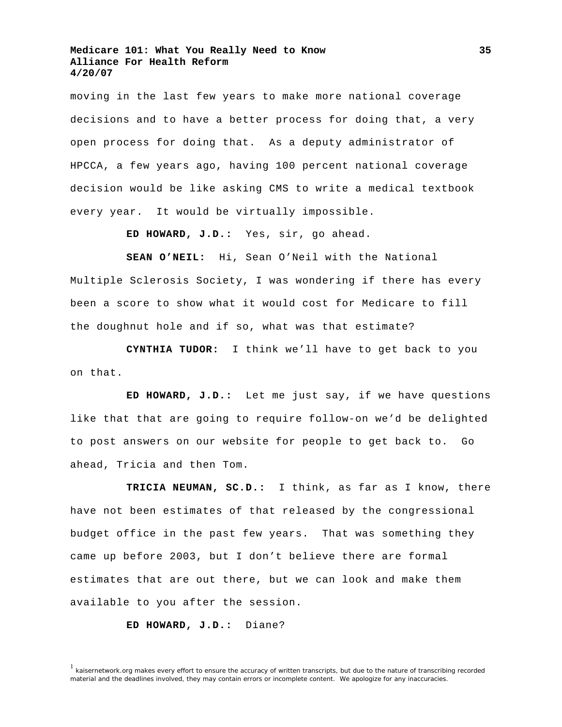moving in the last few years to make more national coverage decisions and to have a better process for doing that, a very open process for doing that. As a deputy administrator of HPCCA, a few years ago, having 100 percent national coverage decision would be like asking CMS to write a medical textbook every year. It would be virtually impossible.

**ED HOWARD, J.D.:** Yes, sir, go ahead.

**SEAN O'NEIL:** Hi, Sean O'Neil with the National Multiple Sclerosis Society, I was wondering if there has every been a score to show what it would cost for Medicare to fill the doughnut hole and if so, what was that estimate?

**CYNTHIA TUDOR:** I think we'll have to get back to you on that.

**ED HOWARD, J.D.:** Let me just say, if we have questions like that that are going to require follow-on we'd be delighted to post answers on our website for people to get back to. Go ahead, Tricia and then Tom.

**TRICIA NEUMAN, SC.D.:** I think, as far as I know, there have not been estimates of that released by the congressional budget office in the past few years. That was something they came up before 2003, but I don't believe there are formal estimates that are out there, but we can look and make them available to you after the session.

**ED HOWARD, J.D.:** Diane?

<sup>&</sup>lt;sup>1</sup> kaisernetwork.org makes every effort to ensure the accuracy of written transcripts, but due to the nature of transcribing recorded material and the deadlines involved, they may contain errors or incomplete content. We apologize for any inaccuracies.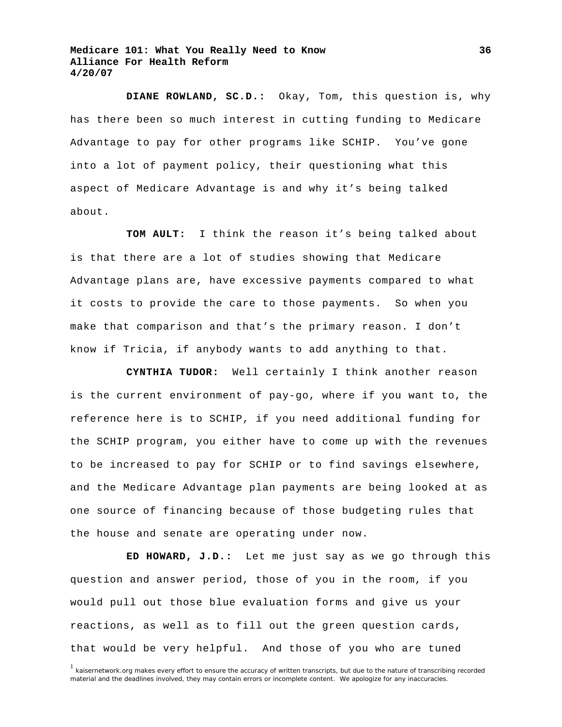**DIANE ROWLAND, SC.D.:** Okay, Tom, this question is, why has there been so much interest in cutting funding to Medicare Advantage to pay for other programs like SCHIP. You've gone into a lot of payment policy, their questioning what this aspect of Medicare Advantage is and why it's being talked about.

**TOM AULT:** I think the reason it's being talked about is that there are a lot of studies showing that Medicare Advantage plans are, have excessive payments compared to what it costs to provide the care to those payments. So when you make that comparison and that's the primary reason. I don't know if Tricia, if anybody wants to add anything to that.

**CYNTHIA TUDOR:** Well certainly I think another reason is the current environment of pay-go, where if you want to, the reference here is to SCHIP, if you need additional funding for the SCHIP program, you either have to come up with the revenues to be increased to pay for SCHIP or to find savings elsewhere, and the Medicare Advantage plan payments are being looked at as one source of financing because of those budgeting rules that the house and senate are operating under now.

**ED HOWARD, J.D.:** Let me just say as we go through this question and answer period, those of you in the room, if you would pull out those blue evaluation forms and give us your reactions, as well as to fill out the green question cards, that would be very helpful. And those of you who are tuned

**36**

<sup>&</sup>lt;sup>1</sup> kaisernetwork.org makes every effort to ensure the accuracy of written transcripts, but due to the nature of transcribing recorded material and the deadlines involved, they may contain errors or incomplete content. We apologize for any inaccuracies.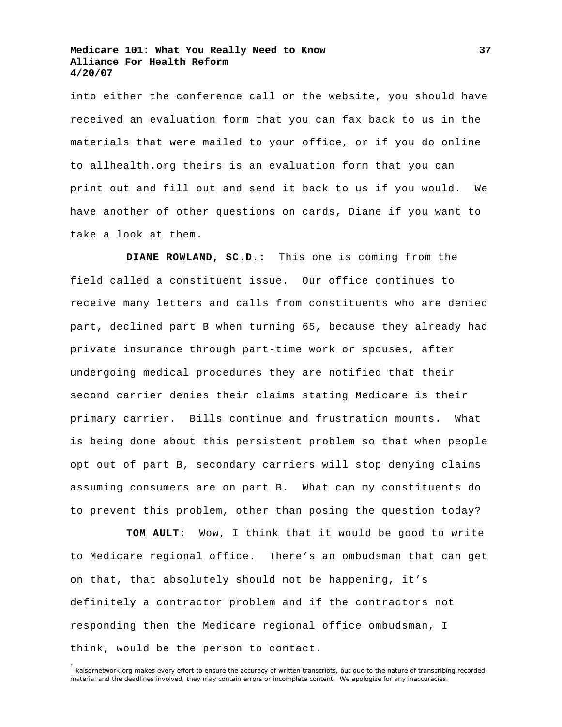into either the conference call or the website, you should have received an evaluation form that you can fax back to us in the materials that were mailed to your office, or if you do online to allhealth.org theirs is an evaluation form that you can print out and fill out and send it back to us if you would. We have another of other questions on cards, Diane if you want to take a look at them.

**DIANE ROWLAND, SC.D.:** This one is coming from the field called a constituent issue. Our office continues to receive many letters and calls from constituents who are denied part, declined part B when turning 65, because they already had private insurance through part-time work or spouses, after undergoing medical procedures they are notified that their second carrier denies their claims stating Medicare is their primary carrier. Bills continue and frustration mounts. What is being done about this persistent problem so that when people opt out of part B, secondary carriers will stop denying claims assuming consumers are on part B. What can my constituents do to prevent this problem, other than posing the question today?

**TOM AULT:** Wow, I think that it would be good to write to Medicare regional office. There's an ombudsman that can get on that, that absolutely should not be happening, it's definitely a contractor problem and if the contractors not responding then the Medicare regional office ombudsman, I think, would be the person to contact.

<sup>&</sup>lt;sup>1</sup> kaisernetwork.org makes every effort to ensure the accuracy of written transcripts, but due to the nature of transcribing recorded material and the deadlines involved, they may contain errors or incomplete content. We apologize for any inaccuracies.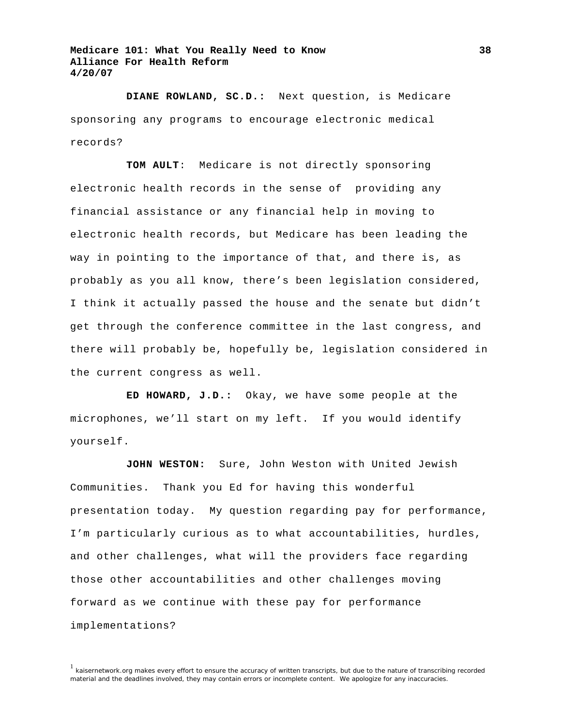**DIANE ROWLAND, SC.D.:** Next question, is Medicare sponsoring any programs to encourage electronic medical records?

**TOM AULT**: Medicare is not directly sponsoring electronic health records in the sense of providing any financial assistance or any financial help in moving to electronic health records, but Medicare has been leading the way in pointing to the importance of that, and there is, as probably as you all know, there's been legislation considered, I think it actually passed the house and the senate but didn't get through the conference committee in the last congress, and there will probably be, hopefully be, legislation considered in the current congress as well.

**ED HOWARD, J.D.:** Okay, we have some people at the microphones, we'll start on my left. If you would identify yourself.

**JOHN WESTON:** Sure, John Weston with United Jewish Communities. Thank you Ed for having this wonderful presentation today. My question regarding pay for performance, I'm particularly curious as to what accountabilities, hurdles, and other challenges, what will the providers face regarding those other accountabilities and other challenges moving forward as we continue with these pay for performance implementations?

**38**

 $<sup>1</sup>$  kaisernetwork.org makes every effort to ensure the accuracy of written transcripts, but due to the nature of transcribing recorded</sup> material and the deadlines involved, they may contain errors or incomplete content. We apologize for any inaccuracies.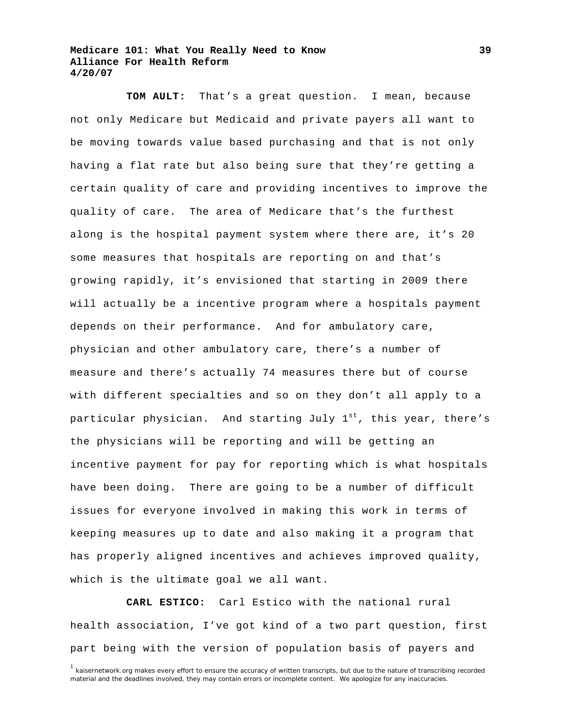**TOM AULT:** That's a great question. I mean, because not only Medicare but Medicaid and private payers all want to be moving towards value based purchasing and that is not only having a flat rate but also being sure that they're getting a certain quality of care and providing incentives to improve the quality of care. The area of Medicare that's the furthest along is the hospital payment system where there are, it's 20 some measures that hospitals are reporting on and that's growing rapidly, it's envisioned that starting in 2009 there will actually be a incentive program where a hospitals payment depends on their performance. And for ambulatory care, physician and other ambulatory care, there's a number of measure and there's actually 74 measures there but of course with different specialties and so on they don't all apply to a particular physician. And starting July  $1^{st}$ , this year, there's the physicians will be reporting and will be getting an incentive payment for pay for reporting which is what hospitals have been doing. There are going to be a number of difficult issues for everyone involved in making this work in terms of keeping measures up to date and also making it a program that has properly aligned incentives and achieves improved quality, which is the ultimate goal we all want.

**CARL ESTICO:** Carl Estico with the national rural health association, I've got kind of a two part question, first part being with the version of population basis of payers and

<sup>&</sup>lt;sup>1</sup> kaisernetwork.org makes every effort to ensure the accuracy of written transcripts, but due to the nature of transcribing recorded material and the deadlines involved, they may contain errors or incomplete content. We apologize for any inaccuracies.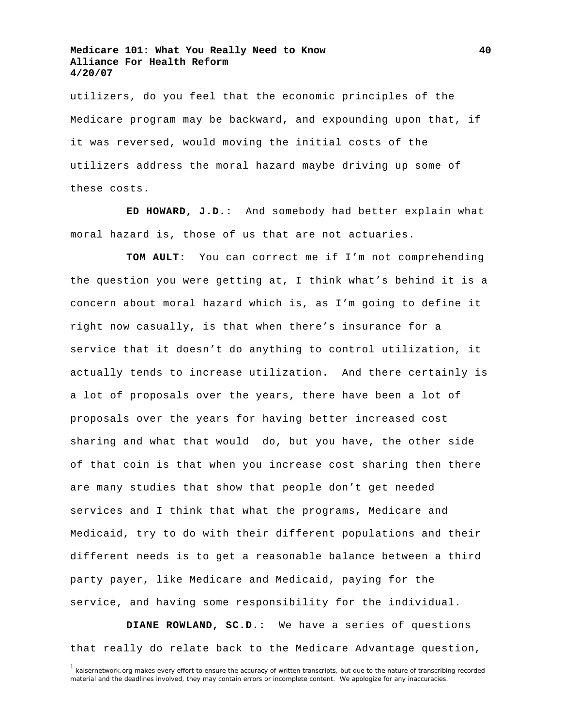utilizers, do you feel that the economic principles of the Medicare program may be backward, and expounding upon that, if it was reversed, would moving the initial costs of the utilizers address the moral hazard maybe driving up some of these costs.

**ED HOWARD, J.D.:** And somebody had better explain what moral hazard is, those of us that are not actuaries.

**TOM AULT:** You can correct me if I'm not comprehending the question you were getting at, I think what's behind it is a concern about moral hazard which is, as I'm going to define it right now casually, is that when there's insurance for a service that it doesn't do anything to control utilization, it actually tends to increase utilization. And there certainly is a lot of proposals over the years, there have been a lot of proposals over the years for having better increased cost sharing and what that would do, but you have, the other side of that coin is that when you increase cost sharing then there are many studies that show that people don't get needed services and I think that what the programs, Medicare and Medicaid, try to do with their different populations and their different needs is to get a reasonable balance between a third party payer, like Medicare and Medicaid, paying for the service, and having some responsibility for the individual.

**DIANE ROWLAND, SC.D.:** We have a series of questions that really do relate back to the Medicare Advantage question,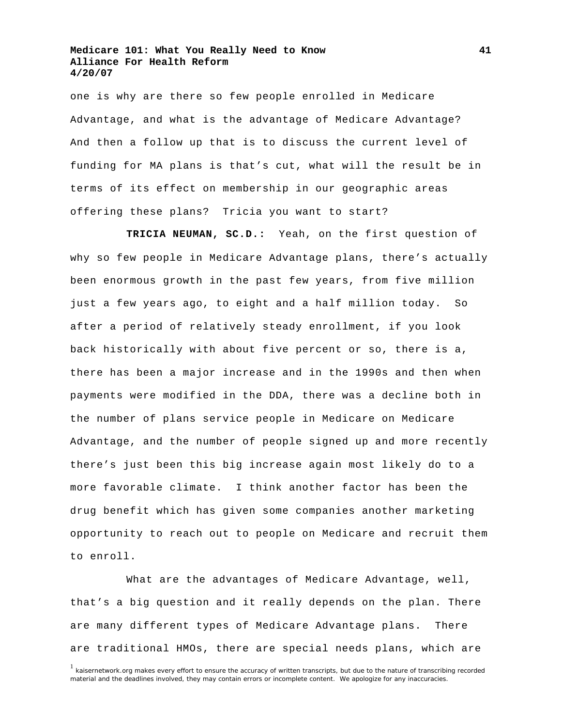one is why are there so few people enrolled in Medicare Advantage, and what is the advantage of Medicare Advantage? And then a follow up that is to discuss the current level of funding for MA plans is that's cut, what will the result be in terms of its effect on membership in our geographic areas offering these plans? Tricia you want to start?

**TRICIA NEUMAN, SC.D.:** Yeah, on the first question of why so few people in Medicare Advantage plans, there's actually been enormous growth in the past few years, from five million just a few years ago, to eight and a half million today. So after a period of relatively steady enrollment, if you look back historically with about five percent or so, there is a, there has been a major increase and in the 1990s and then when payments were modified in the DDA, there was a decline both in the number of plans service people in Medicare on Medicare Advantage, and the number of people signed up and more recently there's just been this big increase again most likely do to a more favorable climate. I think another factor has been the drug benefit which has given some companies another marketing opportunity to reach out to people on Medicare and recruit them to enroll.

 What are the advantages of Medicare Advantage, well, that's a big question and it really depends on the plan. There are many different types of Medicare Advantage plans. There are traditional HMOs, there are special needs plans, which are

**41**

<sup>&</sup>lt;sup>1</sup> kaisernetwork.org makes every effort to ensure the accuracy of written transcripts, but due to the nature of transcribing recorded material and the deadlines involved, they may contain errors or incomplete content. We apologize for any inaccuracies.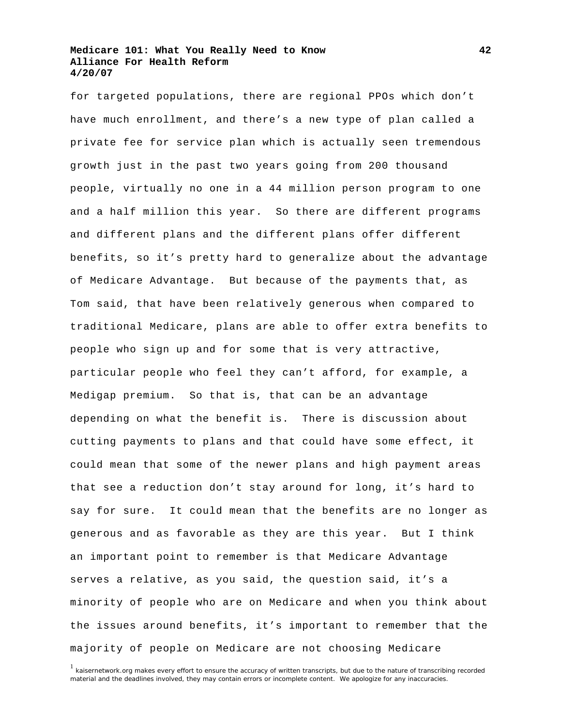for targeted populations, there are regional PPOs which don't have much enrollment, and there's a new type of plan called a private fee for service plan which is actually seen tremendous growth just in the past two years going from 200 thousand people, virtually no one in a 44 million person program to one and a half million this year. So there are different programs and different plans and the different plans offer different benefits, so it's pretty hard to generalize about the advantage of Medicare Advantage. But because of the payments that, as Tom said, that have been relatively generous when compared to traditional Medicare, plans are able to offer extra benefits to people who sign up and for some that is very attractive, particular people who feel they can't afford, for example, a Medigap premium. So that is, that can be an advantage depending on what the benefit is. There is discussion about cutting payments to plans and that could have some effect, it could mean that some of the newer plans and high payment areas that see a reduction don't stay around for long, it's hard to say for sure. It could mean that the benefits are no longer as generous and as favorable as they are this year. But I think an important point to remember is that Medicare Advantage serves a relative, as you said, the question said, it's a minority of people who are on Medicare and when you think about the issues around benefits, it's important to remember that the majority of people on Medicare are not choosing Medicare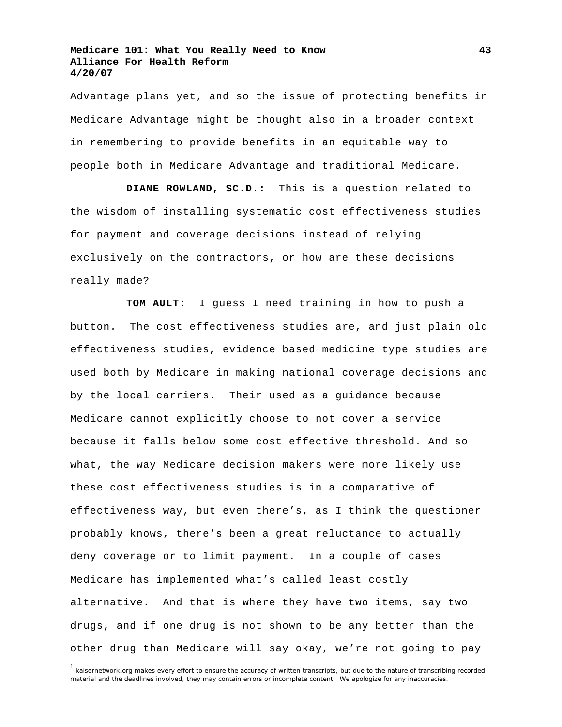Advantage plans yet, and so the issue of protecting benefits in Medicare Advantage might be thought also in a broader context in remembering to provide benefits in an equitable way to people both in Medicare Advantage and traditional Medicare.

**DIANE ROWLAND, SC.D.:** This is a question related to the wisdom of installing systematic cost effectiveness studies for payment and coverage decisions instead of relying exclusively on the contractors, or how are these decisions really made?

**TOM AULT**: I guess I need training in how to push a button. The cost effectiveness studies are, and just plain old effectiveness studies, evidence based medicine type studies are used both by Medicare in making national coverage decisions and by the local carriers. Their used as a guidance because Medicare cannot explicitly choose to not cover a service because it falls below some cost effective threshold. And so what, the way Medicare decision makers were more likely use these cost effectiveness studies is in a comparative of effectiveness way, but even there's, as I think the questioner probably knows, there's been a great reluctance to actually deny coverage or to limit payment. In a couple of cases Medicare has implemented what's called least costly alternative. And that is where they have two items, say two drugs, and if one drug is not shown to be any better than the other drug than Medicare will say okay, we're not going to pay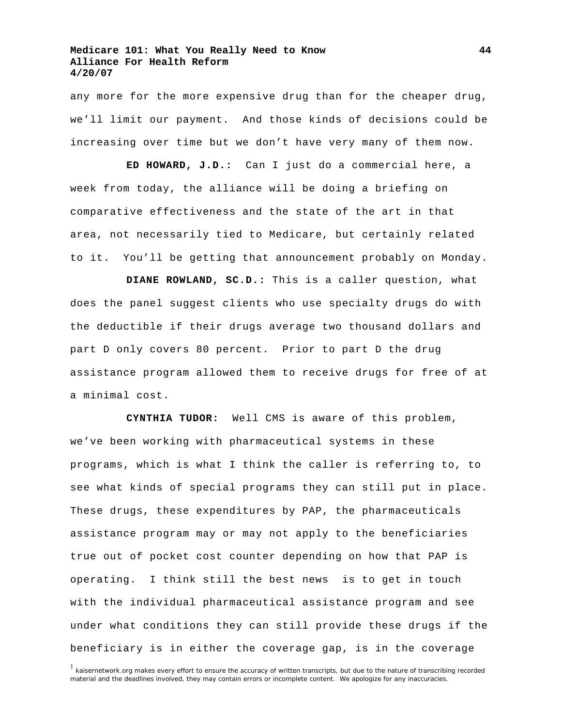any more for the more expensive drug than for the cheaper drug, we'll limit our payment. And those kinds of decisions could be increasing over time but we don't have very many of them now.

**ED HOWARD, J.D.:** Can I just do a commercial here, a week from today, the alliance will be doing a briefing on comparative effectiveness and the state of the art in that area, not necessarily tied to Medicare, but certainly related to it. You'll be getting that announcement probably on Monday.

**DIANE ROWLAND, SC.D.:** This is a caller question, what does the panel suggest clients who use specialty drugs do with the deductible if their drugs average two thousand dollars and part D only covers 80 percent. Prior to part D the drug assistance program allowed them to receive drugs for free of at a minimal cost.

**CYNTHIA TUDOR:** Well CMS is aware of this problem, we've been working with pharmaceutical systems in these programs, which is what I think the caller is referring to, to see what kinds of special programs they can still put in place. These drugs, these expenditures by PAP, the pharmaceuticals assistance program may or may not apply to the beneficiaries true out of pocket cost counter depending on how that PAP is operating. I think still the best news is to get in touch with the individual pharmaceutical assistance program and see under what conditions they can still provide these drugs if the beneficiary is in either the coverage gap, is in the coverage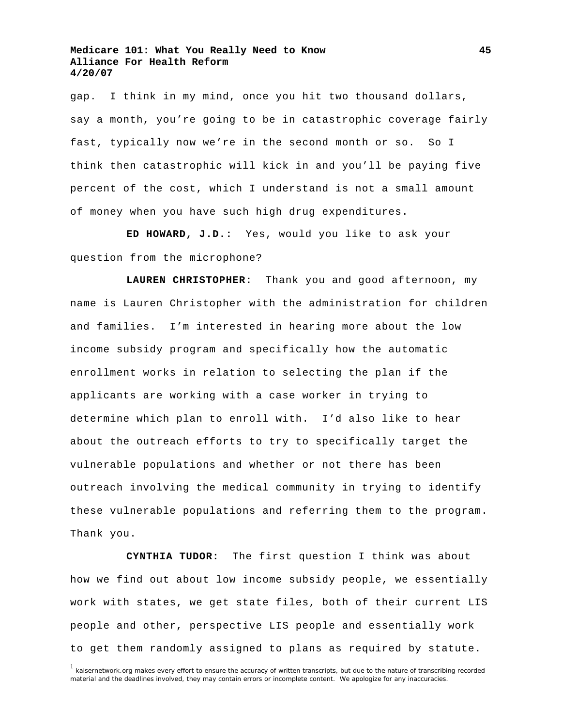gap. I think in my mind, once you hit two thousand dollars, say a month, you're going to be in catastrophic coverage fairly fast, typically now we're in the second month or so. So I think then catastrophic will kick in and you'll be paying five percent of the cost, which I understand is not a small amount of money when you have such high drug expenditures.

**ED HOWARD, J.D.:** Yes, would you like to ask your question from the microphone?

**LAUREN CHRISTOPHER:** Thank you and good afternoon, my name is Lauren Christopher with the administration for children and families. I'm interested in hearing more about the low income subsidy program and specifically how the automatic enrollment works in relation to selecting the plan if the applicants are working with a case worker in trying to determine which plan to enroll with. I'd also like to hear about the outreach efforts to try to specifically target the vulnerable populations and whether or not there has been outreach involving the medical community in trying to identify these vulnerable populations and referring them to the program. Thank you.

**CYNTHIA TUDOR:** The first question I think was about how we find out about low income subsidy people, we essentially work with states, we get state files, both of their current LIS people and other, perspective LIS people and essentially work to get them randomly assigned to plans as required by statute.

<sup>&</sup>lt;sup>1</sup> kaisernetwork.org makes every effort to ensure the accuracy of written transcripts, but due to the nature of transcribing recorded material and the deadlines involved, they may contain errors or incomplete content. We apologize for any inaccuracies.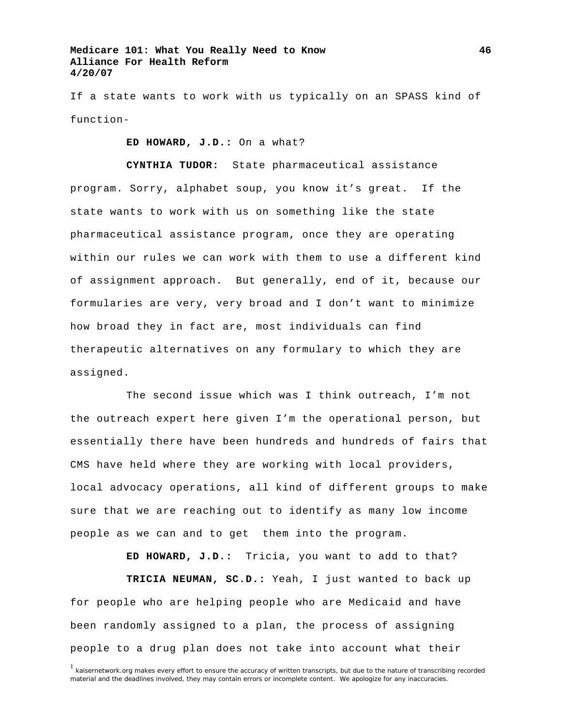If a state wants to work with us typically on an SPASS kind of function-

 **ED HOWARD, J.D.:** On a what?

**CYNTHIA TUDOR:** State pharmaceutical assistance program. Sorry, alphabet soup, you know it's great. If the state wants to work with us on something like the state pharmaceutical assistance program, once they are operating within our rules we can work with them to use a different kind of assignment approach. But generally, end of it, because our formularies are very, very broad and I don't want to minimize how broad they in fact are, most individuals can find therapeutic alternatives on any formulary to which they are assigned.

 The second issue which was I think outreach, I'm not the outreach expert here given I'm the operational person, but essentially there have been hundreds and hundreds of fairs that CMS have held where they are working with local providers, local advocacy operations, all kind of different groups to make sure that we are reaching out to identify as many low income people as we can and to get them into the program.

**ED HOWARD, J.D.:** Tricia, you want to add to that?

**TRICIA NEUMAN, SC.D.:** Yeah, I just wanted to back up for people who are helping people who are Medicaid and have been randomly assigned to a plan, the process of assigning people to a drug plan does not take into account what their

<sup>&</sup>lt;sup>1</sup> kaisernetwork.org makes every effort to ensure the accuracy of written transcripts, but due to the nature of transcribing recorded material and the deadlines involved, they may contain errors or incomplete content. We apologize for any inaccuracies.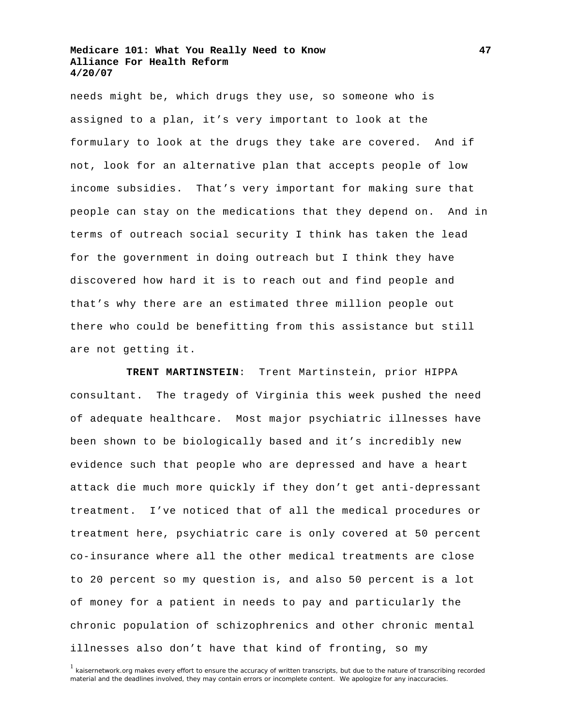needs might be, which drugs they use, so someone who is assigned to a plan, it's very important to look at the formulary to look at the drugs they take are covered. And if not, look for an alternative plan that accepts people of low income subsidies. That's very important for making sure that people can stay on the medications that they depend on. And in terms of outreach social security I think has taken the lead for the government in doing outreach but I think they have discovered how hard it is to reach out and find people and that's why there are an estimated three million people out there who could be benefitting from this assistance but still are not getting it.

**TRENT MARTINSTEIN**: Trent Martinstein, prior HIPPA consultant. The tragedy of Virginia this week pushed the need of adequate healthcare. Most major psychiatric illnesses have been shown to be biologically based and it's incredibly new evidence such that people who are depressed and have a heart attack die much more quickly if they don't get anti-depressant treatment. I've noticed that of all the medical procedures or treatment here, psychiatric care is only covered at 50 percent co-insurance where all the other medical treatments are close to 20 percent so my question is, and also 50 percent is a lot of money for a patient in needs to pay and particularly the chronic population of schizophrenics and other chronic mental illnesses also don't have that kind of fronting, so my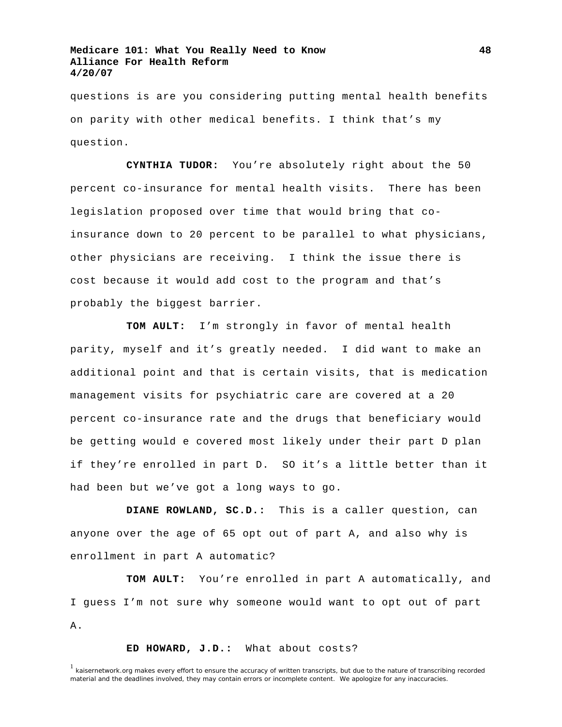questions is are you considering putting mental health benefits on parity with other medical benefits. I think that's my question.

**CYNTHIA TUDOR:** You're absolutely right about the 50 percent co-insurance for mental health visits. There has been legislation proposed over time that would bring that coinsurance down to 20 percent to be parallel to what physicians, other physicians are receiving. I think the issue there is cost because it would add cost to the program and that's probably the biggest barrier.

**TOM AULT:** I'm strongly in favor of mental health parity, myself and it's greatly needed. I did want to make an additional point and that is certain visits, that is medication management visits for psychiatric care are covered at a 20 percent co-insurance rate and the drugs that beneficiary would be getting would e covered most likely under their part D plan if they're enrolled in part D. SO it's a little better than it had been but we've got a long ways to go.

**DIANE ROWLAND, SC.D.:** This is a caller question, can anyone over the age of 65 opt out of part A, and also why is enrollment in part A automatic?

**TOM AULT:** You're enrolled in part A automatically, and I guess I'm not sure why someone would want to opt out of part A.

**ED HOWARD, J.D.:** What about costs?

 $1$  kaisernetwork.org makes every effort to ensure the accuracy of written transcripts, but due to the nature of transcribing recorded material and the deadlines involved, they may contain errors or incomplete content. We apologize for any inaccuracies.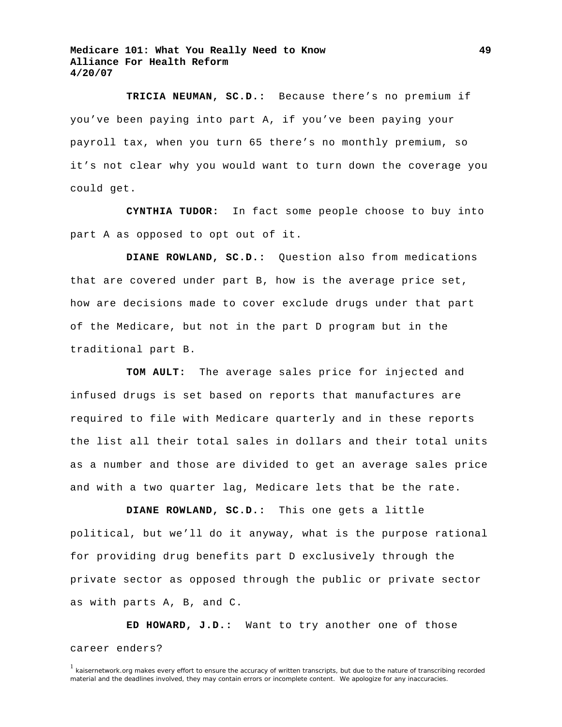**TRICIA NEUMAN, SC.D.:** Because there's no premium if you've been paying into part A, if you've been paying your payroll tax, when you turn 65 there's no monthly premium, so it's not clear why you would want to turn down the coverage you could get.

**CYNTHIA TUDOR:** In fact some people choose to buy into part A as opposed to opt out of it.

**DIANE ROWLAND, SC.D.:** Question also from medications that are covered under part B, how is the average price set, how are decisions made to cover exclude drugs under that part of the Medicare, but not in the part D program but in the traditional part B.

**TOM AULT:** The average sales price for injected and infused drugs is set based on reports that manufactures are required to file with Medicare quarterly and in these reports the list all their total sales in dollars and their total units as a number and those are divided to get an average sales price and with a two quarter lag, Medicare lets that be the rate.

**DIANE ROWLAND, SC.D.:** This one gets a little political, but we'll do it anyway, what is the purpose rational for providing drug benefits part D exclusively through the private sector as opposed through the public or private sector as with parts A, B, and C.

**ED HOWARD, J.D.:** Want to try another one of those career enders?

**49**

<sup>&</sup>lt;sup>1</sup> kaisernetwork.org makes every effort to ensure the accuracy of written transcripts, but due to the nature of transcribing recorded material and the deadlines involved, they may contain errors or incomplete content. We apologize for any inaccuracies.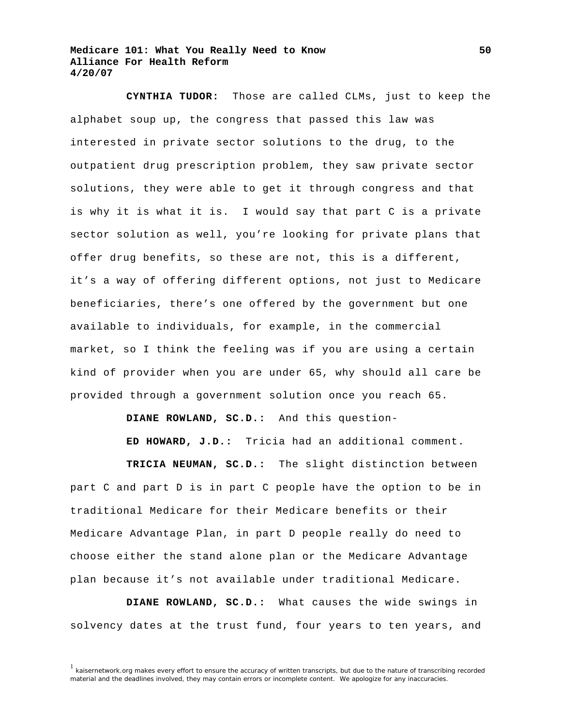**CYNTHIA TUDOR:** Those are called CLMs, just to keep the alphabet soup up, the congress that passed this law was interested in private sector solutions to the drug, to the outpatient drug prescription problem, they saw private sector solutions, they were able to get it through congress and that is why it is what it is. I would say that part C is a private sector solution as well, you're looking for private plans that offer drug benefits, so these are not, this is a different, it's a way of offering different options, not just to Medicare beneficiaries, there's one offered by the government but one available to individuals, for example, in the commercial market, so I think the feeling was if you are using a certain kind of provider when you are under 65, why should all care be provided through a government solution once you reach 65.

**DIANE ROWLAND, SC.D.:** And this question-

**ED HOWARD, J.D.:** Tricia had an additional comment.

**TRICIA NEUMAN, SC.D.:** The slight distinction between part C and part D is in part C people have the option to be in traditional Medicare for their Medicare benefits or their Medicare Advantage Plan, in part D people really do need to choose either the stand alone plan or the Medicare Advantage plan because it's not available under traditional Medicare.

**DIANE ROWLAND, SC.D.:** What causes the wide swings in solvency dates at the trust fund, four years to ten years, and

 $<sup>1</sup>$  kaisernetwork.org makes every effort to ensure the accuracy of written transcripts, but due to the nature of transcribing recorded</sup> material and the deadlines involved, they may contain errors or incomplete content. We apologize for any inaccuracies.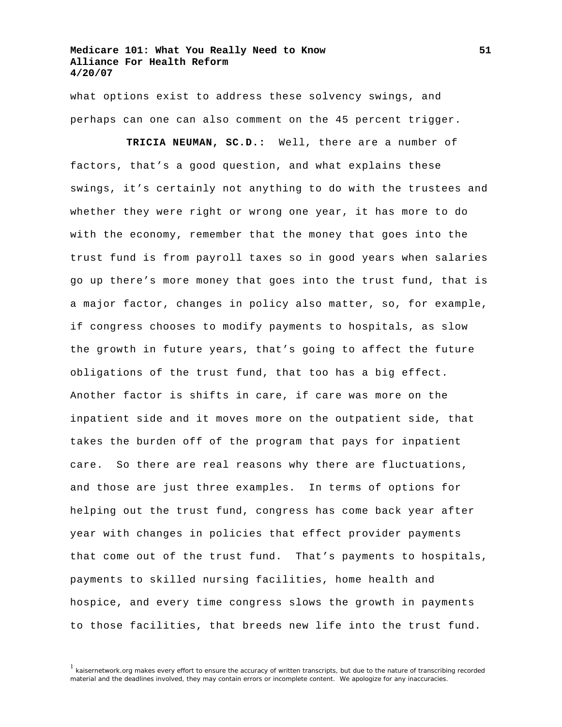what options exist to address these solvency swings, and perhaps can one can also comment on the 45 percent trigger.

**TRICIA NEUMAN, SC.D.:** Well, there are a number of factors, that's a good question, and what explains these swings, it's certainly not anything to do with the trustees and whether they were right or wrong one year, it has more to do with the economy, remember that the money that goes into the trust fund is from payroll taxes so in good years when salaries go up there's more money that goes into the trust fund, that is a major factor, changes in policy also matter, so, for example, if congress chooses to modify payments to hospitals, as slow the growth in future years, that's going to affect the future obligations of the trust fund, that too has a big effect. Another factor is shifts in care, if care was more on the inpatient side and it moves more on the outpatient side, that takes the burden off of the program that pays for inpatient care. So there are real reasons why there are fluctuations, and those are just three examples. In terms of options for helping out the trust fund, congress has come back year after year with changes in policies that effect provider payments that come out of the trust fund. That's payments to hospitals, payments to skilled nursing facilities, home health and hospice, and every time congress slows the growth in payments to those facilities, that breeds new life into the trust fund.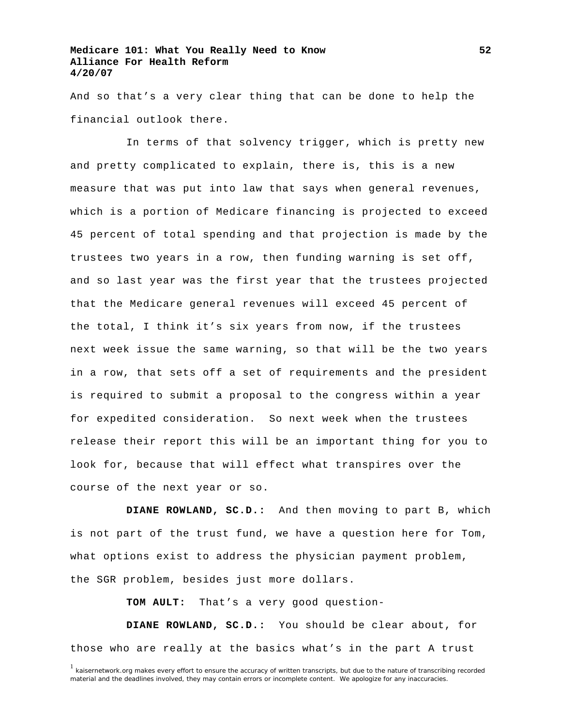And so that's a very clear thing that can be done to help the financial outlook there.

 In terms of that solvency trigger, which is pretty new and pretty complicated to explain, there is, this is a new measure that was put into law that says when general revenues, which is a portion of Medicare financing is projected to exceed 45 percent of total spending and that projection is made by the trustees two years in a row, then funding warning is set off, and so last year was the first year that the trustees projected that the Medicare general revenues will exceed 45 percent of the total, I think it's six years from now, if the trustees next week issue the same warning, so that will be the two years in a row, that sets off a set of requirements and the president is required to submit a proposal to the congress within a year for expedited consideration. So next week when the trustees release their report this will be an important thing for you to look for, because that will effect what transpires over the course of the next year or so.

**DIANE ROWLAND, SC.D.:** And then moving to part B, which is not part of the trust fund, we have a question here for Tom, what options exist to address the physician payment problem, the SGR problem, besides just more dollars.

**TOM AULT:** That's a very good question-

**DIANE ROWLAND, SC.D.:** You should be clear about, for those who are really at the basics what's in the part A trust

<sup>&</sup>lt;sup>1</sup> kaisernetwork.org makes every effort to ensure the accuracy of written transcripts, but due to the nature of transcribing recorded material and the deadlines involved, they may contain errors or incomplete content. We apologize for any inaccuracies.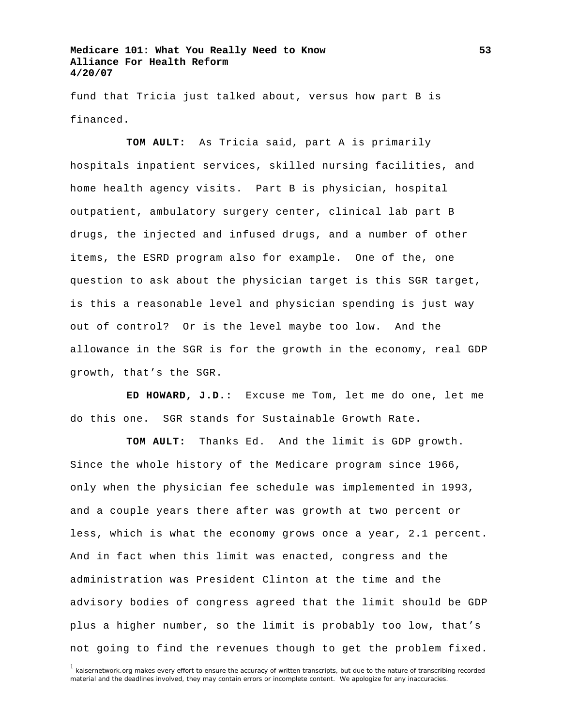fund that Tricia just talked about, versus how part B is financed.

**TOM AULT:** As Tricia said, part A is primarily hospitals inpatient services, skilled nursing facilities, and home health agency visits. Part B is physician, hospital outpatient, ambulatory surgery center, clinical lab part B drugs, the injected and infused drugs, and a number of other items, the ESRD program also for example. One of the, one question to ask about the physician target is this SGR target, is this a reasonable level and physician spending is just way out of control? Or is the level maybe too low. And the allowance in the SGR is for the growth in the economy, real GDP growth, that's the SGR.

**ED HOWARD, J.D.:** Excuse me Tom, let me do one, let me do this one. SGR stands for Sustainable Growth Rate.

**TOM AULT:** Thanks Ed. And the limit is GDP growth. Since the whole history of the Medicare program since 1966, only when the physician fee schedule was implemented in 1993, and a couple years there after was growth at two percent or less, which is what the economy grows once a year, 2.1 percent. And in fact when this limit was enacted, congress and the administration was President Clinton at the time and the advisory bodies of congress agreed that the limit should be GDP plus a higher number, so the limit is probably too low, that's not going to find the revenues though to get the problem fixed.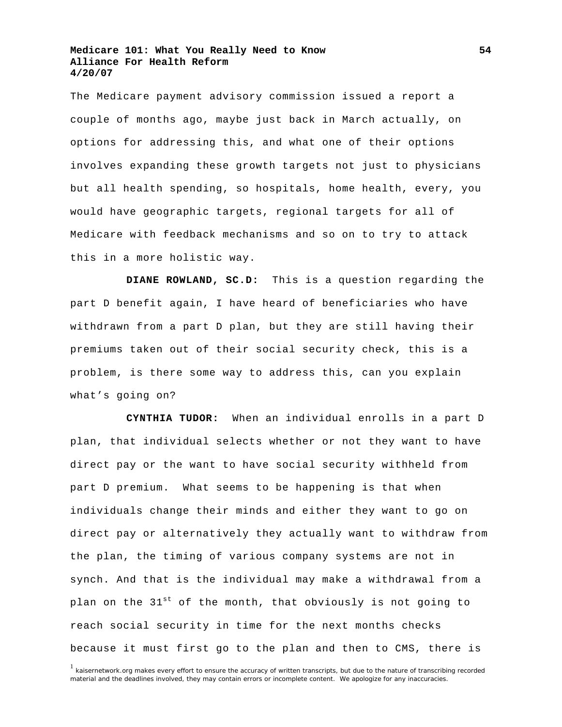The Medicare payment advisory commission issued a report a couple of months ago, maybe just back in March actually, on options for addressing this, and what one of their options involves expanding these growth targets not just to physicians but all health spending, so hospitals, home health, every, you would have geographic targets, regional targets for all of Medicare with feedback mechanisms and so on to try to attack this in a more holistic way.

**DIANE ROWLAND, SC.D:** This is a question regarding the part D benefit again, I have heard of beneficiaries who have withdrawn from a part D plan, but they are still having their premiums taken out of their social security check, this is a problem, is there some way to address this, can you explain what's going on?

**CYNTHIA TUDOR:** When an individual enrolls in a part D plan, that individual selects whether or not they want to have direct pay or the want to have social security withheld from part D premium. What seems to be happening is that when individuals change their minds and either they want to go on direct pay or alternatively they actually want to withdraw from the plan, the timing of various company systems are not in synch. And that is the individual may make a withdrawal from a plan on the  $31^{st}$  of the month, that obviously is not going to reach social security in time for the next months checks because it must first go to the plan and then to CMS, there is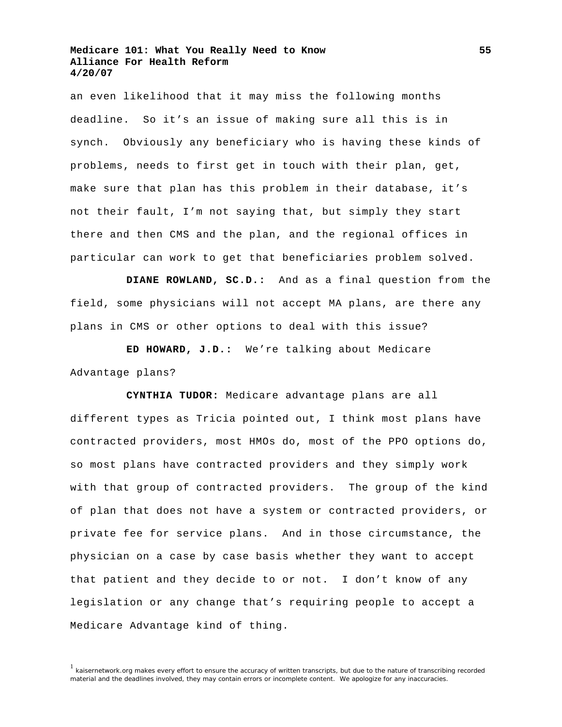an even likelihood that it may miss the following months deadline. So it's an issue of making sure all this is in synch. Obviously any beneficiary who is having these kinds of problems, needs to first get in touch with their plan, get, make sure that plan has this problem in their database, it's not their fault, I'm not saying that, but simply they start there and then CMS and the plan, and the regional offices in particular can work to get that beneficiaries problem solved.

**DIANE ROWLAND, SC.D.:** And as a final question from the field, some physicians will not accept MA plans, are there any plans in CMS or other options to deal with this issue?

**ED HOWARD, J.D.:** We're talking about Medicare Advantage plans?

**CYNTHIA TUDOR:** Medicare advantage plans are all different types as Tricia pointed out, I think most plans have contracted providers, most HMOs do, most of the PPO options do, so most plans have contracted providers and they simply work with that group of contracted providers. The group of the kind of plan that does not have a system or contracted providers, or private fee for service plans. And in those circumstance, the physician on a case by case basis whether they want to accept that patient and they decide to or not. I don't know of any legislation or any change that's requiring people to accept a Medicare Advantage kind of thing.

 $<sup>1</sup>$  kaisernetwork.org makes every effort to ensure the accuracy of written transcripts, but due to the nature of transcribing recorded</sup> material and the deadlines involved, they may contain errors or incomplete content. We apologize for any inaccuracies.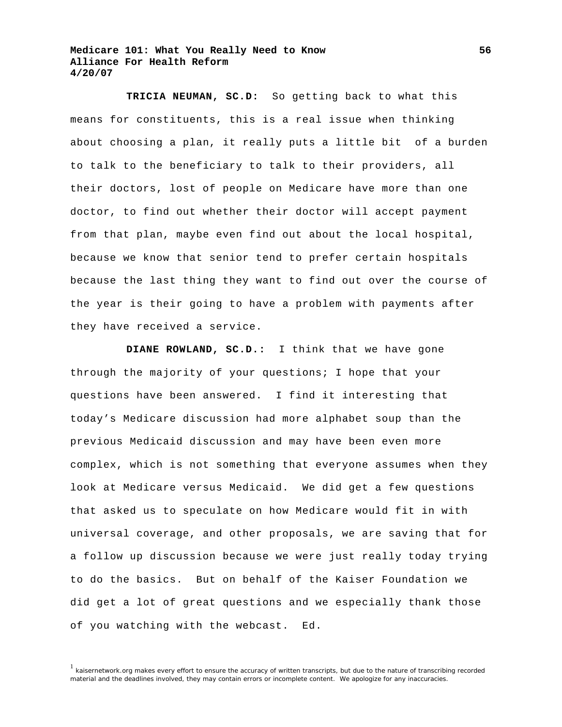**TRICIA NEUMAN, SC.D:** So getting back to what this means for constituents, this is a real issue when thinking about choosing a plan, it really puts a little bit of a burden to talk to the beneficiary to talk to their providers, all their doctors, lost of people on Medicare have more than one doctor, to find out whether their doctor will accept payment from that plan, maybe even find out about the local hospital, because we know that senior tend to prefer certain hospitals because the last thing they want to find out over the course of the year is their going to have a problem with payments after they have received a service.

**DIANE ROWLAND, SC.D.:** I think that we have gone through the majority of your questions; I hope that your questions have been answered. I find it interesting that today's Medicare discussion had more alphabet soup than the previous Medicaid discussion and may have been even more complex, which is not something that everyone assumes when they look at Medicare versus Medicaid. We did get a few questions that asked us to speculate on how Medicare would fit in with universal coverage, and other proposals, we are saving that for a follow up discussion because we were just really today trying to do the basics. But on behalf of the Kaiser Foundation we did get a lot of great questions and we especially thank those of you watching with the webcast. Ed.